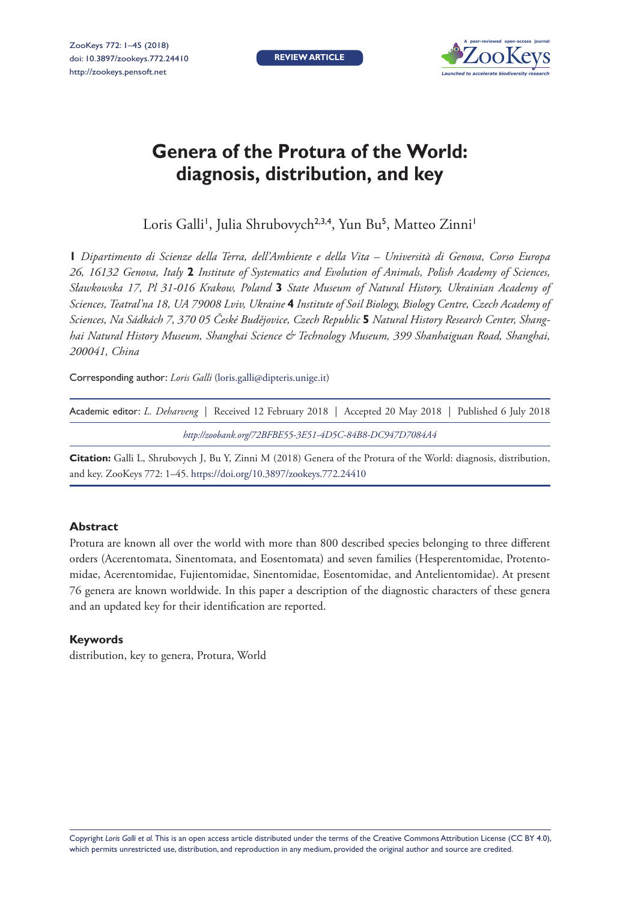**REVIEW ARTICLE**



# **Genera of the Protura of the World: diagnosis, distribution, and key**

Loris Galli', Julia Shrubovych<sup>2,3,4</sup>, Yun Bu<sup>5</sup>, Matteo Zinni'

**1** *Dipartimento di Scienze della Terra, dell'Ambiente e della Vita – Università di Genova, Corso Europa 26, 16132 Genova, Italy* **2** *Institute of Systematics and Evolution of Animals, Polish Academy of Sciences, Sławkowska 17, Pl 31-016 Krakow, Poland* **3** *State Museum of Natural History, Ukrainian Academy of Sciences, Teatral'na 18, UA 79008 Lviv, Ukraine* **4** *Institute of Soil Biology, Biology Centre, Czech Academy of Sciences, Na Sádkách 7, 370 05 České Budějovice, Czech Republic* **5** *Natural History Research Center, Shanghai Natural History Museum, Shanghai Science & Technology Museum, 399 Shanhaiguan Road, Shanghai, 200041, China*

Corresponding author: *Loris Galli* [\(loris.galli@dipteris.unige.it](mailto:loris.galli@dipteris.unige.it))

| Academic editor: L. Deharveng Received 12 February 2018   Accepted 20 May 2018   Published 6 July 2018 |  |
|--------------------------------------------------------------------------------------------------------|--|
| http://zoobank.org/72BFBE55-3E51-4D5C-84B8-DC947D7084A4                                                |  |

**Citation:** Galli L, Shrubovych J, Bu Y, Zinni M (2018) Genera of the Protura of the World: diagnosis, distribution, and key. ZooKeys 772: 1–45.<https://doi.org/10.3897/zookeys.772.24410>

## **Abstract**

Protura are known all over the world with more than 800 described species belonging to three different orders (Acerentomata, Sinentomata, and Eosentomata) and seven families (Hesperentomidae, Protentomidae, Acerentomidae, Fujientomidae, Sinentomidae, Eosentomidae, and Antelientomidae). At present 76 genera are known worldwide. In this paper a description of the diagnostic characters of these genera and an updated key for their identification are reported.

## **Keywords**

distribution, key to genera, Protura, World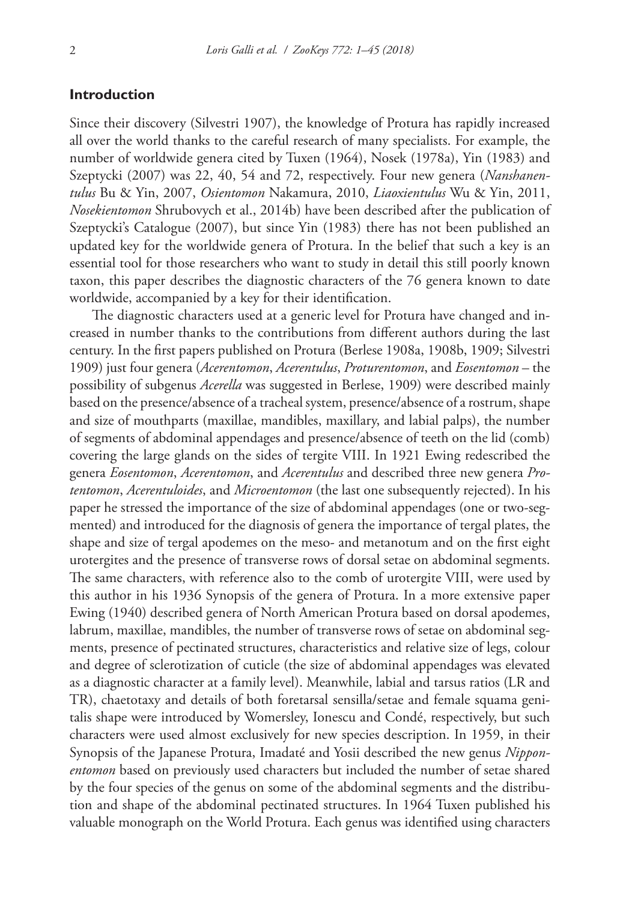## **Introduction**

Since their discovery (Silvestri 1907), the knowledge of Protura has rapidly increased all over the world thanks to the careful research of many specialists. For example, the number of worldwide genera cited by Tuxen (1964), Nosek (1978a), Yin (1983) and Szeptycki (2007) was 22, 40, 54 and 72, respectively. Four new genera (*Nanshanentulus* Bu & Yin, 2007, *Osientomon* Nakamura, 2010, *Liaoxientulus* Wu & Yin, 2011, *Nosekientomon* Shrubovych et al., 2014b) have been described after the publication of Szeptycki's Catalogue (2007), but since Yin (1983) there has not been published an updated key for the worldwide genera of Protura. In the belief that such a key is an essential tool for those researchers who want to study in detail this still poorly known taxon, this paper describes the diagnostic characters of the 76 genera known to date worldwide, accompanied by a key for their identification.

The diagnostic characters used at a generic level for Protura have changed and increased in number thanks to the contributions from different authors during the last century. In the first papers published on Protura (Berlese 1908a, 1908b, 1909; Silvestri 1909) just four genera (*Acerentomon*, *Acerentulus*, *Proturentomon*, and *Eosentomon* – the possibility of subgenus *Acerella* was suggested in Berlese, 1909) were described mainly based on the presence/absence of a tracheal system, presence/absence of a rostrum, shape and size of mouthparts (maxillae, mandibles, maxillary, and labial palps), the number of segments of abdominal appendages and presence/absence of teeth on the lid (comb) covering the large glands on the sides of tergite VIII. In 1921 Ewing redescribed the genera *Eosentomon*, *Acerentomon*, and *Acerentulus* and described three new genera *Protentomon*, *Acerentuloides*, and *Microentomon* (the last one subsequently rejected). In his paper he stressed the importance of the size of abdominal appendages (one or two-segmented) and introduced for the diagnosis of genera the importance of tergal plates, the shape and size of tergal apodemes on the meso- and metanotum and on the first eight urotergites and the presence of transverse rows of dorsal setae on abdominal segments. The same characters, with reference also to the comb of urotergite VIII, were used by this author in his 1936 Synopsis of the genera of Protura. In a more extensive paper Ewing (1940) described genera of North American Protura based on dorsal apodemes, labrum, maxillae, mandibles, the number of transverse rows of setae on abdominal segments, presence of pectinated structures, characteristics and relative size of legs, colour and degree of sclerotization of cuticle (the size of abdominal appendages was elevated as a diagnostic character at a family level). Meanwhile, labial and tarsus ratios (LR and TR), chaetotaxy and details of both foretarsal sensilla/setae and female squama genitalis shape were introduced by Womersley, Ionescu and Condé, respectively, but such characters were used almost exclusively for new species description. In 1959, in their Synopsis of the Japanese Protura, Imadaté and Yosii described the new genus *Nipponentomon* based on previously used characters but included the number of setae shared by the four species of the genus on some of the abdominal segments and the distribution and shape of the abdominal pectinated structures. In 1964 Tuxen published his valuable monograph on the World Protura. Each genus was identified using characters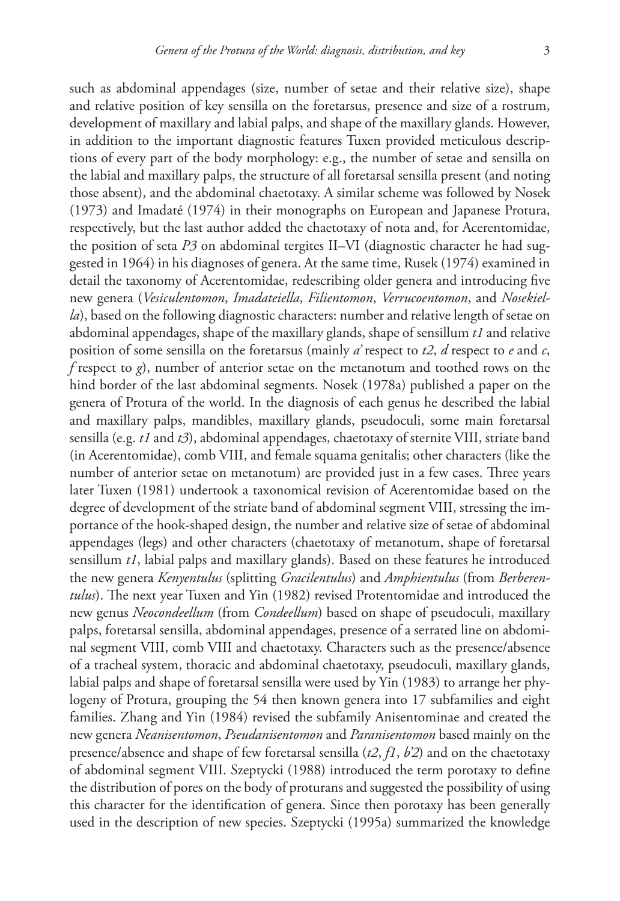such as abdominal appendages (size, number of setae and their relative size), shape and relative position of key sensilla on the foretarsus, presence and size of a rostrum, development of maxillary and labial palps, and shape of the maxillary glands. However, in addition to the important diagnostic features Tuxen provided meticulous descriptions of every part of the body morphology: e.g., the number of setae and sensilla on the labial and maxillary palps, the structure of all foretarsal sensilla present (and noting those absent), and the abdominal chaetotaxy. A similar scheme was followed by Nosek (1973) and Imadaté (1974) in their monographs on European and Japanese Protura, respectively, but the last author added the chaetotaxy of nota and, for Acerentomidae, the position of seta *P3* on abdominal tergites II–VI (diagnostic character he had suggested in 1964) in his diagnoses of genera. At the same time, Rusek (1974) examined in detail the taxonomy of Acerentomidae, redescribing older genera and introducing five new genera (*Vesiculentomon*, *Imadateiella*, *Filientomon*, *Verrucoentomon*, and *Nosekiella*), based on the following diagnostic characters: number and relative length of setae on abdominal appendages, shape of the maxillary glands, shape of sensillum *t1* and relative position of some sensilla on the foretarsus (mainly *a'* respect to *t2*, *d* respect to *e* and *c*, *f* respect to *g*), number of anterior setae on the metanotum and toothed rows on the hind border of the last abdominal segments. Nosek (1978a) published a paper on the genera of Protura of the world. In the diagnosis of each genus he described the labial and maxillary palps, mandibles, maxillary glands, pseudoculi, some main foretarsal sensilla (e.g. *t1* and *t3*), abdominal appendages, chaetotaxy of sternite VIII, striate band (in Acerentomidae), comb VIII, and female squama genitalis; other characters (like the number of anterior setae on metanotum) are provided just in a few cases. Three years later Tuxen (1981) undertook a taxonomical revision of Acerentomidae based on the degree of development of the striate band of abdominal segment VIII, stressing the importance of the hook-shaped design, the number and relative size of setae of abdominal appendages (legs) and other characters (chaetotaxy of metanotum, shape of foretarsal sensillum *t1*, labial palps and maxillary glands). Based on these features he introduced the new genera *Kenyentulus* (splitting *Gracilentulus*) and *Amphientulus* (from *Berberentulus*). The next year Tuxen and Yin (1982) revised Protentomidae and introduced the new genus *Neocondeellum* (from *Condeellum*) based on shape of pseudoculi, maxillary palps, foretarsal sensilla, abdominal appendages, presence of a serrated line on abdominal segment VIII, comb VIII and chaetotaxy. Characters such as the presence/absence of a tracheal system, thoracic and abdominal chaetotaxy, pseudoculi, maxillary glands, labial palps and shape of foretarsal sensilla were used by Yin (1983) to arrange her phylogeny of Protura, grouping the 54 then known genera into 17 subfamilies and eight families. Zhang and Yin (1984) revised the subfamily Anisentominae and created the new genera *Neanisentomon*, *Pseudanisentomon* and *Paranisentomon* based mainly on the presence/absence and shape of few foretarsal sensilla (*t2*, *f1*, *b'2*) and on the chaetotaxy of abdominal segment VIII. Szeptycki (1988) introduced the term porotaxy to define the distribution of pores on the body of proturans and suggested the possibility of using this character for the identification of genera. Since then porotaxy has been generally used in the description of new species. Szeptycki (1995a) summarized the knowledge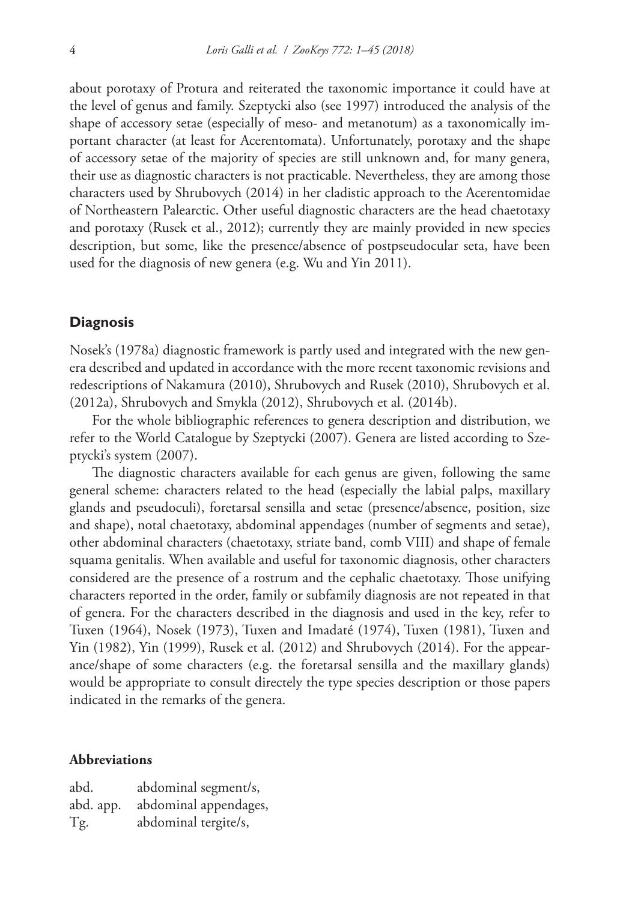about porotaxy of Protura and reiterated the taxonomic importance it could have at the level of genus and family. Szeptycki also (see 1997) introduced the analysis of the shape of accessory setae (especially of meso- and metanotum) as a taxonomically important character (at least for Acerentomata). Unfortunately, porotaxy and the shape of accessory setae of the majority of species are still unknown and, for many genera, their use as diagnostic characters is not practicable. Nevertheless, they are among those characters used by Shrubovych (2014) in her cladistic approach to the Acerentomidae of Northeastern Palearctic. Other useful diagnostic characters are the head chaetotaxy and porotaxy (Rusek et al., 2012); currently they are mainly provided in new species description, but some, like the presence/absence of postpseudocular seta, have been used for the diagnosis of new genera (e.g. Wu and Yin 2011).

## **Diagnosis**

Nosek's (1978a) diagnostic framework is partly used and integrated with the new genera described and updated in accordance with the more recent taxonomic revisions and redescriptions of Nakamura (2010), Shrubovych and Rusek (2010), Shrubovych et al. (2012a), Shrubovych and Smykla (2012), Shrubovych et al. (2014b).

For the whole bibliographic references to genera description and distribution, we refer to the World Catalogue by Szeptycki (2007). Genera are listed according to Szeptycki's system (2007).

The diagnostic characters available for each genus are given, following the same general scheme: characters related to the head (especially the labial palps, maxillary glands and pseudoculi), foretarsal sensilla and setae (presence/absence, position, size and shape), notal chaetotaxy, abdominal appendages (number of segments and setae), other abdominal characters (chaetotaxy, striate band, comb VIII) and shape of female squama genitalis. When available and useful for taxonomic diagnosis, other characters considered are the presence of a rostrum and the cephalic chaetotaxy. Those unifying characters reported in the order, family or subfamily diagnosis are not repeated in that of genera. For the characters described in the diagnosis and used in the key, refer to Tuxen (1964), Nosek (1973), Tuxen and Imadaté (1974), Tuxen (1981), Tuxen and Yin (1982), Yin (1999), Rusek et al. (2012) and Shrubovych (2014). For the appearance/shape of some characters (e.g. the foretarsal sensilla and the maxillary glands) would be appropriate to consult directely the type species description or those papers indicated in the remarks of the genera.

## **Abbreviations**

| abd.      | abdominal segment/s,  |
|-----------|-----------------------|
| abd. app. | abdominal appendages, |
| Tg.       | abdominal tergite/s,  |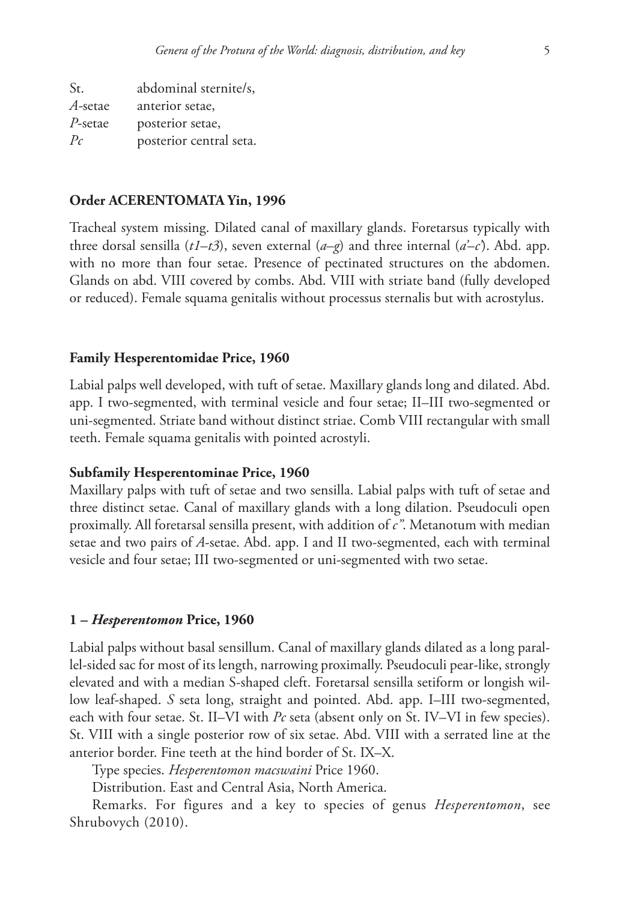St. abdominal sternite/s, *A-*setae anterior setae, *P*-setae posterior setae, *Pc* posterior central seta.

#### **Order ACERENTOMATA Yin, 1996**

Tracheal system missing. Dilated canal of maxillary glands. Foretarsus typically with three dorsal sensilla  $(tI-t3)$ , seven external  $(a-q)$  and three internal  $(a'-c)$ . Abd. app. with no more than four setae. Presence of pectinated structures on the abdomen. Glands on abd. VIII covered by combs. Abd. VIII with striate band (fully developed or reduced). Female squama genitalis without processus sternalis but with acrostylus.

#### **Family Hesperentomidae Price, 1960**

Labial palps well developed, with tuft of setae. Maxillary glands long and dilated. Abd. app. I two-segmented, with terminal vesicle and four setae; II–III two-segmented or uni-segmented. Striate band without distinct striae. Comb VIII rectangular with small teeth. Female squama genitalis with pointed acrostyli.

#### **Subfamily Hesperentominae Price, 1960**

Maxillary palps with tuft of setae and two sensilla. Labial palps with tuft of setae and three distinct setae. Canal of maxillary glands with a long dilation. Pseudoculi open proximally. All foretarsal sensilla present, with addition of *c"*. Metanotum with median setae and two pairs of *A*-setae. Abd. app. I and II two-segmented, each with terminal vesicle and four setae; III two-segmented or uni-segmented with two setae.

## **1 –** *Hesperentomon* **Price, 1960**

Labial palps without basal sensillum. Canal of maxillary glands dilated as a long parallel-sided sac for most of its length, narrowing proximally. Pseudoculi pear-like, strongly elevated and with a median S-shaped cleft. Foretarsal sensilla setiform or longish willow leaf-shaped. *S* seta long, straight and pointed. Abd. app. I–III two-segmented, each with four setae. St. II–VI with *Pc* seta (absent only on St. IV–VI in few species). St. VIII with a single posterior row of six setae. Abd. VIII with a serrated line at the anterior border. Fine teeth at the hind border of St. IX–X.

Type species. *Hesperentomon macswaini* Price 1960.

Distribution. East and Central Asia, North America.

Remarks. For figures and a key to species of genus *Hesperentomon*, see Shrubovych (2010).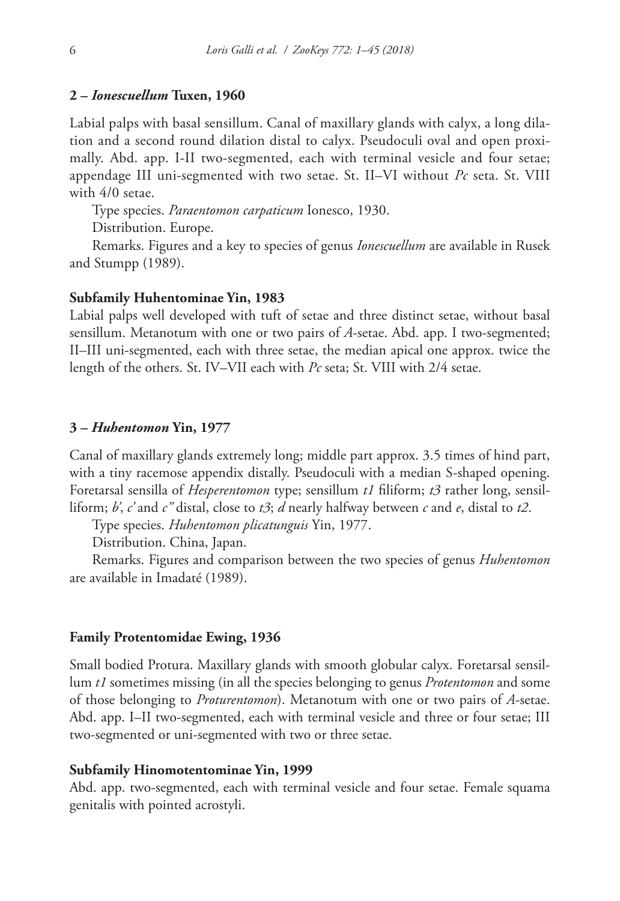#### **2 –** *Ionescuellum* **Tuxen, 1960**

Labial palps with basal sensillum. Canal of maxillary glands with calyx, a long dilation and a second round dilation distal to calyx. Pseudoculi oval and open proximally. Abd. app. I-II two-segmented, each with terminal vesicle and four setae; appendage III uni-segmented with two setae. St. II–VI without *Pc* seta. St. VIII with 4/0 setae.

Type species. *Paraentomon carpaticum* Ionesco, 1930.

Distribution. Europe.

Remarks. Figures and a key to species of genus *Ionescuellum* are available in Rusek and Stumpp (1989).

#### **Subfamily Huhentominae Yin, 1983**

Labial palps well developed with tuft of setae and three distinct setae, without basal sensillum. Metanotum with one or two pairs of *A*-setae. Abd. app. I two-segmented; II–III uni-segmented, each with three setae, the median apical one approx. twice the length of the others. St. IV–VII each with *Pc* seta; St. VIII with 2/4 setae.

#### **3 –** *Huhentomon* **Yin, 1977**

Canal of maxillary glands extremely long; middle part approx. 3.5 times of hind part, with a tiny racemose appendix distally. Pseudoculi with a median S-shaped opening. Foretarsal sensilla of *Hesperentomon* type; sensillum *t1* filiform; *t3* rather long, sensilliform; *b'*, *c'* and *c"* distal, close to *t3*; *d* nearly halfway between *c* and *e*, distal to *t2*.

Type species. *Huhentomon plicatunguis* Yin, 1977.

Distribution. China, Japan.

Remarks. Figures and comparison between the two species of genus *Huhentomon* are available in Imadaté (1989).

#### **Family Protentomidae Ewing, 1936**

Small bodied Protura. Maxillary glands with smooth globular calyx. Foretarsal sensillum *t1* sometimes missing (in all the species belonging to genus *Protentomon* and some of those belonging to *Proturentomon*). Metanotum with one or two pairs of *A*-setae. Abd. app. I–II two-segmented, each with terminal vesicle and three or four setae; III two-segmented or uni-segmented with two or three setae.

#### **Subfamily Hinomotentominae Yin, 1999**

Abd. app. two-segmented, each with terminal vesicle and four setae. Female squama genitalis with pointed acrostyli.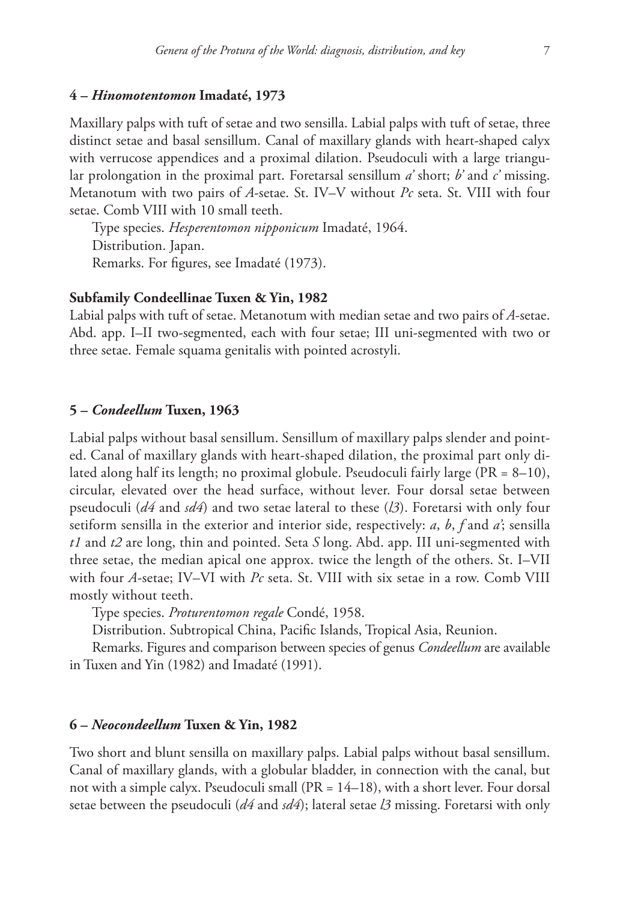#### **4 –** *Hinomotentomon* **Imadaté, 1973**

Maxillary palps with tuft of setae and two sensilla. Labial palps with tuft of setae, three distinct setae and basal sensillum. Canal of maxillary glands with heart-shaped calyx with verrucose appendices and a proximal dilation. Pseudoculi with a large triangular prolongation in the proximal part. Foretarsal sensillum *a'* short; *b'* and *c'* missing. Metanotum with two pairs of *A*-setae. St. IV–V without *Pc* seta. St. VIII with four setae. Comb VIII with 10 small teeth.

Type species. *Hesperentomon nipponicum* Imadaté, 1964. Distribution. Japan. Remarks. For figures, see Imadaté (1973).

#### **Subfamily Condeellinae Tuxen & Yin, 1982**

Labial palps with tuft of setae. Metanotum with median setae and two pairs of *A*-setae. Abd. app. I–II two-segmented, each with four setae; III uni-segmented with two or three setae. Female squama genitalis with pointed acrostyli.

#### **5 –** *Condeellum* **Tuxen, 1963**

Labial palps without basal sensillum. Sensillum of maxillary palps slender and pointed. Canal of maxillary glands with heart-shaped dilation, the proximal part only dilated along half its length; no proximal globule. Pseudoculi fairly large (PR = 8–10), circular, elevated over the head surface, without lever. Four dorsal setae between pseudoculi (*d4* and *sd4*) and two setae lateral to these (*l3*). Foretarsi with only four setiform sensilla in the exterior and interior side, respectively: *a*, *b*, *f* and *a'*; sensilla *t1* and *t2* are long, thin and pointed. Seta *S* long. Abd. app. III uni-segmented with three setae, the median apical one approx. twice the length of the others. St. I–VII with four *A*-setae; IV–VI with *Pc* seta. St. VIII with six setae in a row. Comb VIII mostly without teeth.

Type species. *Proturentomon regale* Condé, 1958.

Distribution. Subtropical China, Pacific Islands, Tropical Asia, Reunion.

Remarks. Figures and comparison between species of genus *Condeellum* are available in Tuxen and Yin (1982) and Imadaté (1991).

# **6 –** *Neocondeellum* **Tuxen & Yin, 1982**

Two short and blunt sensilla on maxillary palps. Labial palps without basal sensillum. Canal of maxillary glands, with a globular bladder, in connection with the canal, but not with a simple calyx. Pseudoculi small  $(PR = 14-18)$ , with a short lever. Four dorsal setae between the pseudoculi (*d4* and *sd4*); lateral setae *l3* missing. Foretarsi with only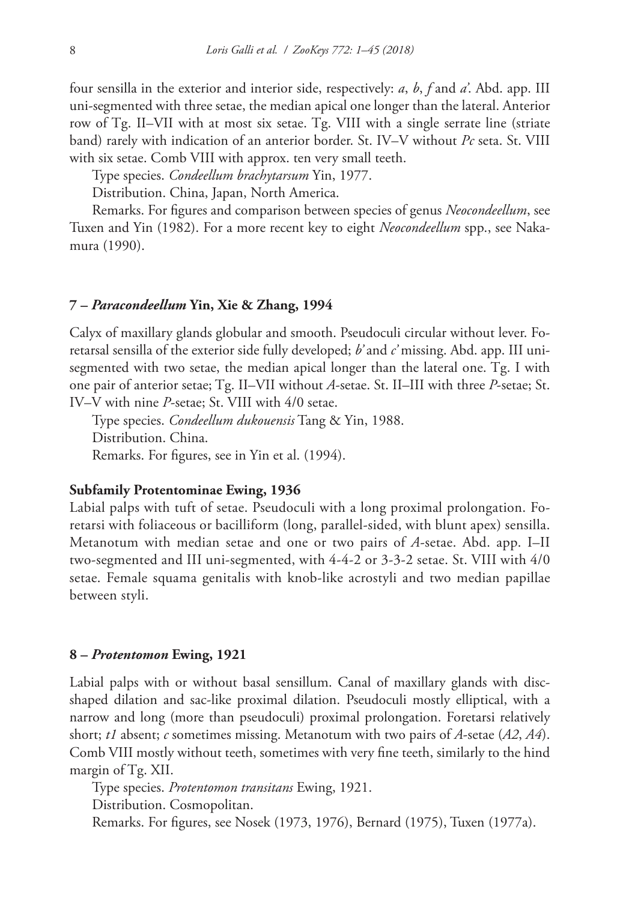four sensilla in the exterior and interior side, respectively: *a*, *b*, *f* and *a'*. Abd. app. III uni-segmented with three setae, the median apical one longer than the lateral. Anterior row of Tg. II–VII with at most six setae. Tg. VIII with a single serrate line (striate band) rarely with indication of an anterior border. St. IV–V without *Pc* seta. St. VIII with six setae. Comb VIII with approx. ten very small teeth.

Type species. *Condeellum brachytarsum* Yin, 1977.

Distribution. China, Japan, North America.

Remarks. For figures and comparison between species of genus *Neocondeellum*, see Tuxen and Yin (1982). For a more recent key to eight *Neocondeellum* spp., see Nakamura (1990).

## **7 –** *Paracondeellum* **Yin, Xie & Zhang, 1994**

Calyx of maxillary glands globular and smooth. Pseudoculi circular without lever. Foretarsal sensilla of the exterior side fully developed; *b'* and *c'* missing. Abd. app. III unisegmented with two setae, the median apical longer than the lateral one. Tg. I with one pair of anterior setae; Tg. II–VII without *A*-setae. St. II–III with three *P*-setae; St. IV–V with nine *P*-setae; St. VIII with 4/0 setae.

Type species. *Condeellum dukouensis* Tang & Yin, 1988. Distribution. China. Remarks. For figures, see in Yin et al. (1994).

### **Subfamily Protentominae Ewing, 1936**

Labial palps with tuft of setae. Pseudoculi with a long proximal prolongation. Foretarsi with foliaceous or bacilliform (long, parallel-sided, with blunt apex) sensilla. Metanotum with median setae and one or two pairs of *A*-setae. Abd. app. I–II two-segmented and III uni-segmented, with 4-4-2 or 3-3-2 setae. St. VIII with 4/0 setae. Female squama genitalis with knob-like acrostyli and two median papillae between styli.

#### **8 –** *Protentomon* **Ewing, 1921**

Labial palps with or without basal sensillum. Canal of maxillary glands with discshaped dilation and sac-like proximal dilation. Pseudoculi mostly elliptical, with a narrow and long (more than pseudoculi) proximal prolongation. Foretarsi relatively short; *t1* absent; *c* sometimes missing. Metanotum with two pairs of *A*-setae (*A2*, *A4*). Comb VIII mostly without teeth, sometimes with very fine teeth, similarly to the hind margin of Tg. XII.

Type species. *Protentomon transitans* Ewing, 1921.

Distribution. Cosmopolitan.

Remarks. For figures, see Nosek (1973, 1976), Bernard (1975), Tuxen (1977a).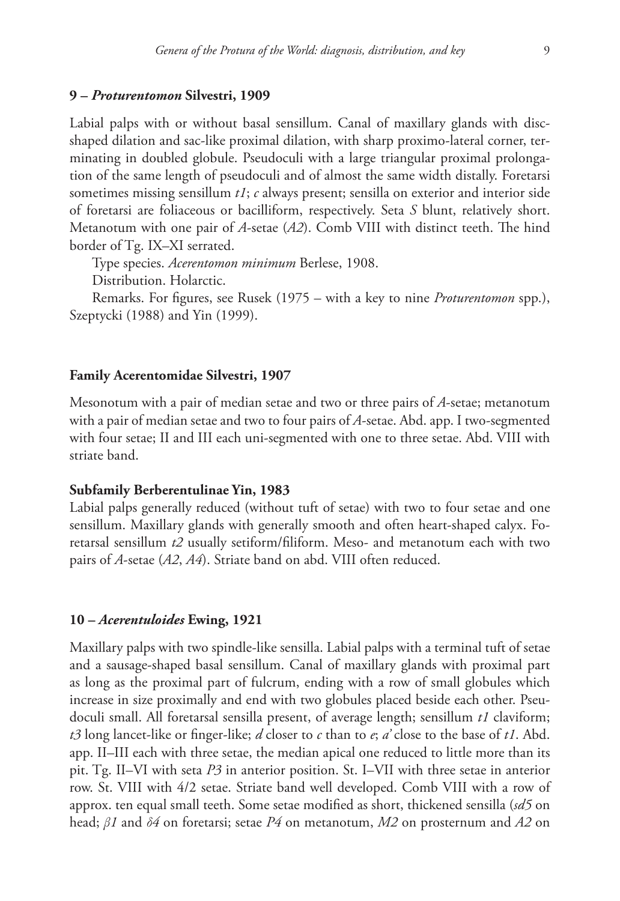#### **9 –** *Proturentomon* **Silvestri, 1909**

Labial palps with or without basal sensillum. Canal of maxillary glands with discshaped dilation and sac-like proximal dilation, with sharp proximo-lateral corner, terminating in doubled globule. Pseudoculi with a large triangular proximal prolongation of the same length of pseudoculi and of almost the same width distally. Foretarsi sometimes missing sensillum *t1*; *c* always present; sensilla on exterior and interior side of foretarsi are foliaceous or bacilliform, respectively. Seta *S* blunt, relatively short. Metanotum with one pair of *A*-setae (*A2*). Comb VIII with distinct teeth. The hind border of Tg. IX–XI serrated.

Type species. *Acerentomon minimum* Berlese, 1908.

Distribution. Holarctic.

Remarks. For figures, see Rusek (1975 – with a key to nine *Proturentomon* spp.), Szeptycki (1988) and Yin (1999).

## **Family Acerentomidae Silvestri, 1907**

Mesonotum with a pair of median setae and two or three pairs of *A*-setae; metanotum with a pair of median setae and two to four pairs of *A*-setae. Abd. app. I two-segmented with four setae; II and III each uni-segmented with one to three setae. Abd. VIII with striate band.

### **Subfamily Berberentulinae Yin, 1983**

Labial palps generally reduced (without tuft of setae) with two to four setae and one sensillum. Maxillary glands with generally smooth and often heart-shaped calyx. Foretarsal sensillum *t2* usually setiform/filiform. Meso- and metanotum each with two pairs of *A*-setae (*A2*, *A4*). Striate band on abd. VIII often reduced.

#### **10 –** *Acerentuloides* **Ewing, 1921**

Maxillary palps with two spindle-like sensilla. Labial palps with a terminal tuft of setae and a sausage-shaped basal sensillum. Canal of maxillary glands with proximal part as long as the proximal part of fulcrum, ending with a row of small globules which increase in size proximally and end with two globules placed beside each other. Pseudoculi small. All foretarsal sensilla present, of average length; sensillum *t1* claviform; *t3* long lancet-like or finger-like; *d* closer to *c* than to *e*; *a'* close to the base of *t1*. Abd. app. II–III each with three setae, the median apical one reduced to little more than its pit. Tg. II–VI with seta *P3* in anterior position. St. I–VII with three setae in anterior row. St. VIII with 4/2 setae. Striate band well developed. Comb VIII with a row of approx. ten equal small teeth. Some setae modified as short, thickened sensilla (*sd5* on head; *β1* and *δ4* on foretarsi; setae *P4* on metanotum, *M2* on prosternum and *A2* on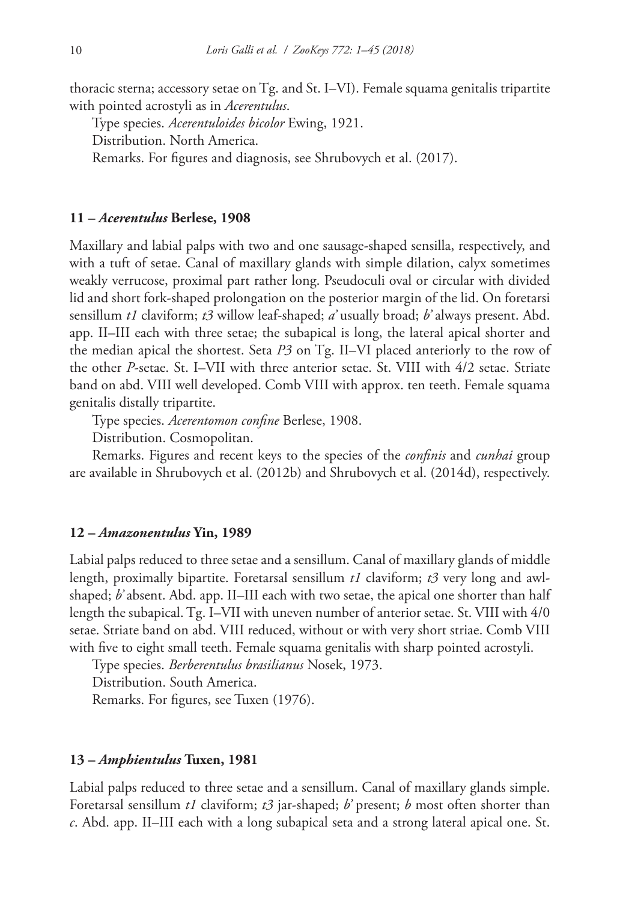thoracic sterna; accessory setae on Tg. and St. I–VI). Female squama genitalis tripartite with pointed acrostyli as in *Acerentulus*.

Type species. *Acerentuloides bicolor* Ewing, 1921.

Distribution. North America.

Remarks. For figures and diagnosis, see Shrubovych et al. (2017).

## **11 –** *Acerentulus* **Berlese, 1908**

Maxillary and labial palps with two and one sausage-shaped sensilla, respectively, and with a tuft of setae. Canal of maxillary glands with simple dilation, calyx sometimes weakly verrucose, proximal part rather long. Pseudoculi oval or circular with divided lid and short fork-shaped prolongation on the posterior margin of the lid. On foretarsi sensillum *t1* claviform; *t3* willow leaf-shaped; *a'* usually broad; *b'* always present. Abd. app. II–III each with three setae; the subapical is long, the lateral apical shorter and the median apical the shortest. Seta *P3* on Tg. II–VI placed anteriorly to the row of the other *P*-setae. St. I–VII with three anterior setae. St. VIII with 4/2 setae. Striate band on abd. VIII well developed. Comb VIII with approx. ten teeth. Female squama genitalis distally tripartite.

Type species. *Acerentomon confine* Berlese, 1908.

Distribution. Cosmopolitan.

Remarks. Figures and recent keys to the species of the *confinis* and *cunhai* group are available in Shrubovych et al. (2012b) and Shrubovych et al. (2014d), respectively.

## **12 –** *Amazonentulus* **Yin, 1989**

Labial palps reduced to three setae and a sensillum. Canal of maxillary glands of middle length, proximally bipartite. Foretarsal sensillum *t1* claviform; *t3* very long and awlshaped; *b'* absent. Abd. app. II–III each with two setae, the apical one shorter than half length the subapical. Tg. I–VII with uneven number of anterior setae. St. VIII with 4/0 setae. Striate band on abd. VIII reduced, without or with very short striae. Comb VIII with five to eight small teeth. Female squama genitalis with sharp pointed acrostyli.

Type species. *Berberentulus brasilianus* Nosek, 1973. Distribution. South America. Remarks. For figures, see Tuxen (1976).

## **13 –** *Amphientulus* **Tuxen, 1981**

Labial palps reduced to three setae and a sensillum. Canal of maxillary glands simple. Foretarsal sensillum *t1* claviform; *t3* jar-shaped; *b'* present; *b* most often shorter than *c*. Abd. app. II–III each with a long subapical seta and a strong lateral apical one. St.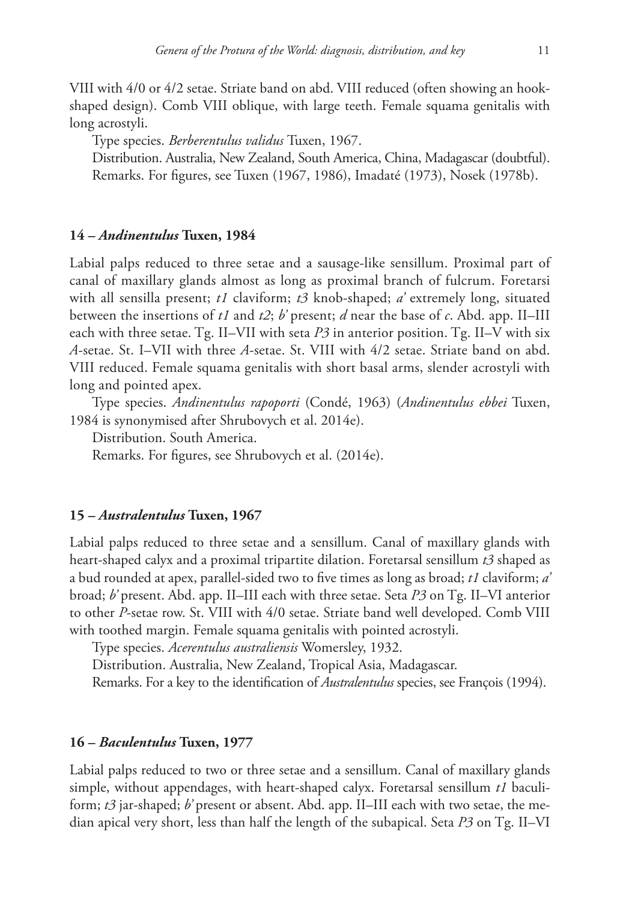VIII with 4/0 or 4/2 setae. Striate band on abd. VIII reduced (often showing an hookshaped design). Comb VIII oblique, with large teeth. Female squama genitalis with long acrostyli.

Type species. *Berberentulus validus* Tuxen, 1967.

Distribution. Australia, New Zealand, South America, China, Madagascar (doubtful). Remarks. For figures, see Tuxen (1967, 1986), Imadaté (1973), Nosek (1978b).

#### **14 –** *Andinentulus* **Tuxen, 1984**

Labial palps reduced to three setae and a sausage-like sensillum. Proximal part of canal of maxillary glands almost as long as proximal branch of fulcrum. Foretarsi with all sensilla present; *t1* claviform; *t3* knob-shaped; *a'* extremely long, situated between the insertions of *t1* and *t2*; *b'* present; *d* near the base of *c*. Abd. app. II–III each with three setae. Tg. II–VII with seta *P3* in anterior position. Tg. II–V with six *A*-setae. St. I–VII with three *A*-setae. St. VIII with 4/2 setae. Striate band on abd. VIII reduced. Female squama genitalis with short basal arms, slender acrostyli with long and pointed apex.

Type species. *Andinentulus rapoporti* (Condé, 1963) (*Andinentulus ebbei* Tuxen, 1984 is synonymised after Shrubovych et al. 2014e).

Distribution. South America.

Remarks. For figures, see Shrubovych et al. (2014e).

#### **15 –** *Australentulus* **Tuxen, 1967**

Labial palps reduced to three setae and a sensillum. Canal of maxillary glands with heart-shaped calyx and a proximal tripartite dilation. Foretarsal sensillum *t3* shaped as a bud rounded at apex, parallel-sided two to five times as long as broad; *t1* claviform; *a'* broad; *b'* present. Abd. app. II–III each with three setae. Seta *P3* on Tg. II–VI anterior to other *P*-setae row. St. VIII with 4/0 setae. Striate band well developed. Comb VIII with toothed margin. Female squama genitalis with pointed acrostyli.

Type species. *Acerentulus australiensis* Womersley, 1932.

Distribution. Australia, New Zealand, Tropical Asia, Madagascar.

Remarks. For a key to the identification of *Australentulus* species, see François (1994).

#### **16 –** *Baculentulus* **Tuxen, 1977**

Labial palps reduced to two or three setae and a sensillum. Canal of maxillary glands simple, without appendages, with heart-shaped calyx. Foretarsal sensillum *t1* baculiform; *t3* jar-shaped; *b'* present or absent. Abd. app. II–III each with two setae, the median apical very short, less than half the length of the subapical. Seta *P3* on Tg. II–VI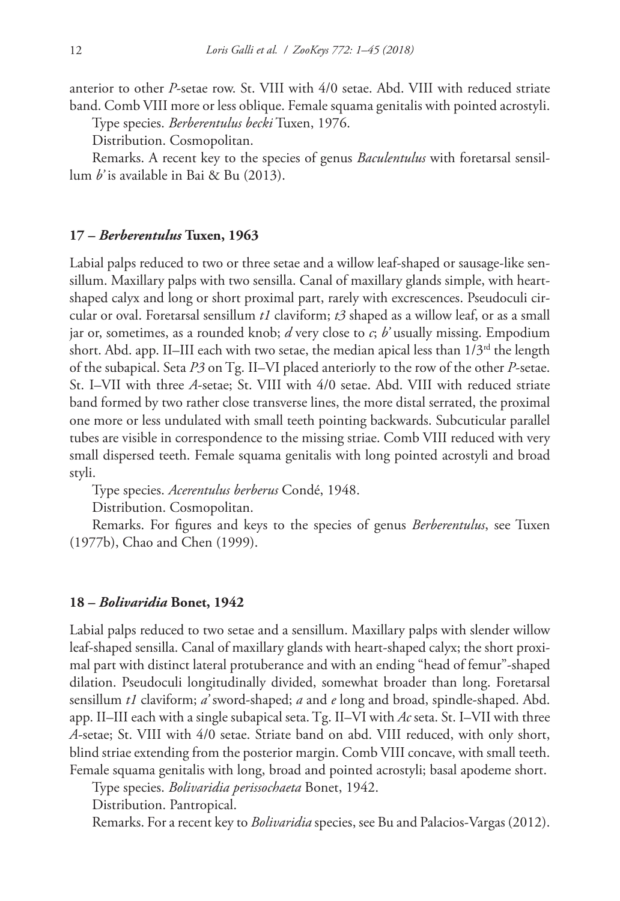anterior to other *P*-setae row. St. VIII with 4/0 setae. Abd. VIII with reduced striate band. Comb VIII more or less oblique. Female squama genitalis with pointed acrostyli.

Type species. *Berberentulus becki* Tuxen, 1976.

Distribution. Cosmopolitan.

Remarks. A recent key to the species of genus *Baculentulus* with foretarsal sensillum *b'* is available in Bai & Bu (2013).

## **17 –** *Berberentulus* **Tuxen, 1963**

Labial palps reduced to two or three setae and a willow leaf-shaped or sausage-like sensillum. Maxillary palps with two sensilla. Canal of maxillary glands simple, with heartshaped calyx and long or short proximal part, rarely with excrescences. Pseudoculi circular or oval. Foretarsal sensillum *t1* claviform; *t3* shaped as a willow leaf, or as a small jar or, sometimes, as a rounded knob; *d* very close to *c*; *b'* usually missing. Empodium short. Abd. app. II–III each with two setae, the median apical less than  $1/3<sup>rd</sup>$  the length of the subapical. Seta *P3* on Tg. II–VI placed anteriorly to the row of the other *P*-setae. St. I–VII with three *A*-setae; St. VIII with 4/0 setae. Abd. VIII with reduced striate band formed by two rather close transverse lines, the more distal serrated, the proximal one more or less undulated with small teeth pointing backwards. Subcuticular parallel tubes are visible in correspondence to the missing striae. Comb VIII reduced with very small dispersed teeth. Female squama genitalis with long pointed acrostyli and broad styli.

Type species. *Acerentulus berberus* Condé, 1948.

Distribution. Cosmopolitan.

Remarks. For figures and keys to the species of genus *Berberentulus*, see Tuxen (1977b), Chao and Chen (1999).

#### **18 –** *Bolivaridia* **Bonet, 1942**

Labial palps reduced to two setae and a sensillum. Maxillary palps with slender willow leaf-shaped sensilla. Canal of maxillary glands with heart-shaped calyx; the short proximal part with distinct lateral protuberance and with an ending "head of femur"-shaped dilation. Pseudoculi longitudinally divided, somewhat broader than long. Foretarsal sensillum *t1* claviform; *a'* sword-shaped; *a* and *e* long and broad, spindle-shaped. Abd. app. II–III each with a single subapical seta. Tg. II–VI with *Ac* seta. St. I–VII with three *A*-setae; St. VIII with 4/0 setae. Striate band on abd. VIII reduced, with only short, blind striae extending from the posterior margin. Comb VIII concave, with small teeth. Female squama genitalis with long, broad and pointed acrostyli; basal apodeme short.

Type species. *Bolivaridia perissochaeta* Bonet, 1942.

Distribution. Pantropical.

Remarks. For a recent key to *Bolivaridia* species, see Bu and Palacios-Vargas (2012).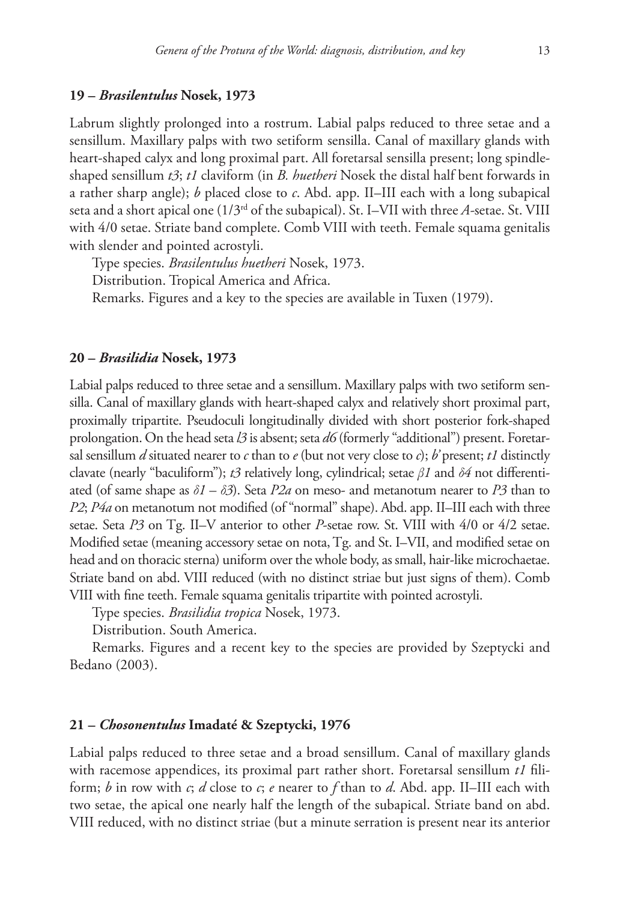## **19 –** *Brasilentulus* **Nosek, 1973**

Labrum slightly prolonged into a rostrum. Labial palps reduced to three setae and a sensillum. Maxillary palps with two setiform sensilla. Canal of maxillary glands with heart-shaped calyx and long proximal part. All foretarsal sensilla present; long spindleshaped sensillum *t3*; *t1* claviform (in *B. huetheri* Nosek the distal half bent forwards in a rather sharp angle); *b* placed close to *c*. Abd. app. II–III each with a long subapical seta and a short apical one (1/3rd of the subapical). St. I–VII with three *A-*setae. St. VIII with 4/0 setae. Striate band complete. Comb VIII with teeth. Female squama genitalis with slender and pointed acrostyli.

Type species. *Brasilentulus huetheri* Nosek, 1973.

Distribution. Tropical America and Africa.

Remarks. Figures and a key to the species are available in Tuxen (1979).

## **20 –** *Brasilidia* **Nosek, 1973**

Labial palps reduced to three setae and a sensillum. Maxillary palps with two setiform sensilla. Canal of maxillary glands with heart-shaped calyx and relatively short proximal part, proximally tripartite. Pseudoculi longitudinally divided with short posterior fork-shaped prolongation. On the head seta *l3* is absent; seta *d6* (formerly "additional") present. Foretarsal sensillum *d* situated nearer to *c* than to *e* (but not very close to *c*); *b* present; *t1* distinctly clavate (nearly "baculiform"); *t3* relatively long, cylindrical; setae *β1* and *δ4* not differentiated (of same shape as  $\delta I - \delta 3$ ). Seta *P2a* on meso- and metanotum nearer to *P3* than to *P2*; *P4a* on metanotum not modified (of "normal" shape). Abd. app. II–III each with three setae. Seta *P3* on Tg. II–V anterior to other *P*-setae row. St. VIII with 4/0 or 4/2 setae. Modified setae (meaning accessory setae on nota, Tg. and St. I–VII, and modified setae on head and on thoracic sterna) uniform over the whole body, as small, hair-like microchaetae. Striate band on abd. VIII reduced (with no distinct striae but just signs of them). Comb VIII with fine teeth. Female squama genitalis tripartite with pointed acrostyli.

Type species. *Brasilidia tropica* Nosek, 1973.

Distribution. South America.

Remarks. Figures and a recent key to the species are provided by Szeptycki and Bedano (2003).

## **21 –** *Chosonentulus* **Imadaté & Szeptycki, 1976**

Labial palps reduced to three setae and a broad sensillum. Canal of maxillary glands with racemose appendices, its proximal part rather short. Foretarsal sensillum *t1* filiform; *b* in row with *c*; *d* close to *c*; *e* nearer to *f* than to *d*. Abd. app. II–III each with two setae, the apical one nearly half the length of the subapical. Striate band on abd. VIII reduced, with no distinct striae (but a minute serration is present near its anterior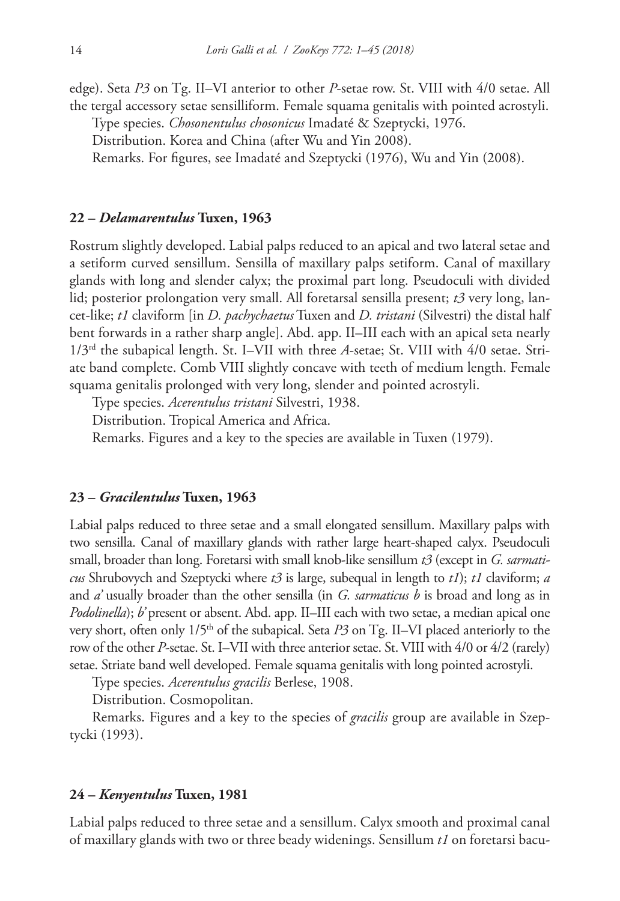edge). Seta *P3* on Tg. II–VI anterior to other *P*-setae row. St. VIII with 4/0 setae. All the tergal accessory setae sensilliform. Female squama genitalis with pointed acrostyli.

Type species. *Chosonentulus chosonicus* Imadaté & Szeptycki, 1976.

Distribution. Korea and China (after Wu and Yin 2008).

Remarks. For figures, see Imadaté and Szeptycki (1976), Wu and Yin (2008).

## **22 –** *Delamarentulus* **Tuxen, 1963**

Rostrum slightly developed. Labial palps reduced to an apical and two lateral setae and a setiform curved sensillum. Sensilla of maxillary palps setiform. Canal of maxillary glands with long and slender calyx; the proximal part long. Pseudoculi with divided lid; posterior prolongation very small. All foretarsal sensilla present; *t3* very long, lancet-like; *t1* claviform [in *D. pachychaetus* Tuxen and *D. tristani* (Silvestri) the distal half bent forwards in a rather sharp angle]. Abd. app. II–III each with an apical seta nearly 1/3rd the subapical length. St. I–VII with three *A*-setae; St. VIII with 4/0 setae. Striate band complete. Comb VIII slightly concave with teeth of medium length. Female squama genitalis prolonged with very long, slender and pointed acrostyli.

Type species. *Acerentulus tristani* Silvestri, 1938.

Distribution. Tropical America and Africa.

Remarks. Figures and a key to the species are available in Tuxen (1979).

#### **23 –** *Gracilentulus* **Tuxen, 1963**

Labial palps reduced to three setae and a small elongated sensillum. Maxillary palps with two sensilla. Canal of maxillary glands with rather large heart-shaped calyx. Pseudoculi small, broader than long. Foretarsi with small knob-like sensillum *t3* (except in *G. sarmaticus* Shrubovych and Szeptycki where *t3* is large, subequal in length to *t1*); *t1* claviform; *a* and *a'* usually broader than the other sensilla (in *G. sarmaticus b* is broad and long as in *Podolinella*); *b'* present or absent. Abd. app. II–III each with two setae, a median apical one very short, often only  $1/5<sup>th</sup>$  of the subapical. Seta *P3* on Tg. II–VI placed anteriorly to the row of the other *P*-setae. St. I–VII with three anterior setae. St. VIII with 4/0 or 4/2 (rarely) setae. Striate band well developed. Female squama genitalis with long pointed acrostyli.

Type species. *Acerentulus gracilis* Berlese, 1908.

Distribution. Cosmopolitan.

Remarks. Figures and a key to the species of *gracilis* group are available in Szeptycki (1993).

## **24 –** *Kenyentulus* **Tuxen, 1981**

Labial palps reduced to three setae and a sensillum. Calyx smooth and proximal canal of maxillary glands with two or three beady widenings. Sensillum *t1* on foretarsi bacu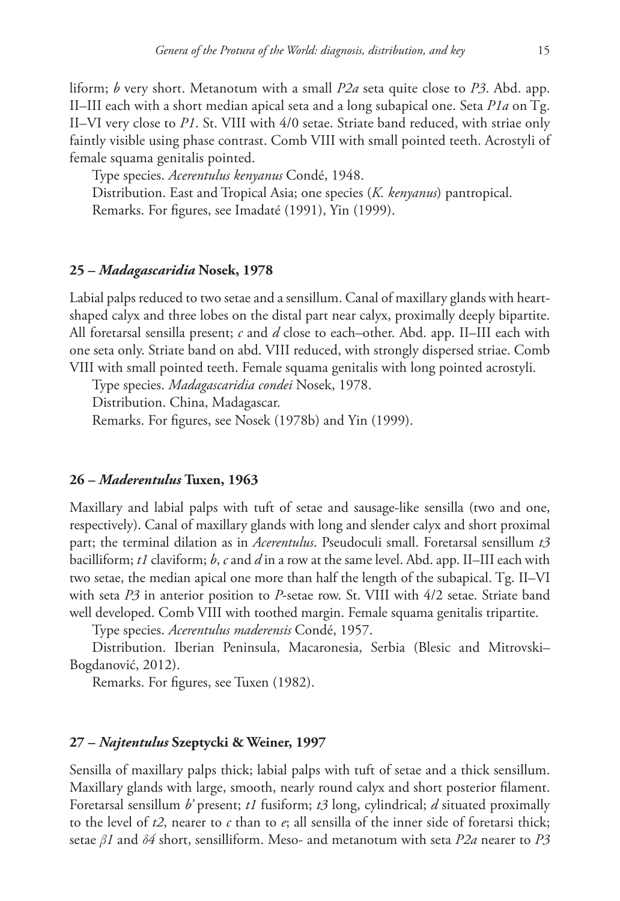liform; *b* very short. Metanotum with a small *P2a* seta quite close to *P3*. Abd. app. II–III each with a short median apical seta and a long subapical one. Seta *P1a* on Tg. II–VI very close to *P1*. St. VIII with 4/0 setae. Striate band reduced, with striae only faintly visible using phase contrast. Comb VIII with small pointed teeth. Acrostyli of female squama genitalis pointed.

Type species. *Acerentulus kenyanus* Condé, 1948. Distribution. East and Tropical Asia; one species (*K. kenyanus*) pantropical. Remarks. For figures, see Imadaté (1991), Yin (1999).

## **25 –** *Madagascaridia* **Nosek, 1978**

Labial palps reduced to two setae and a sensillum. Canal of maxillary glands with heartshaped calyx and three lobes on the distal part near calyx, proximally deeply bipartite. All foretarsal sensilla present; *c* and *d* close to each–other. Abd. app. II–III each with one seta only. Striate band on abd. VIII reduced, with strongly dispersed striae. Comb VIII with small pointed teeth. Female squama genitalis with long pointed acrostyli.

Type species. *Madagascaridia condei* Nosek, 1978.

Distribution. China, Madagascar.

Remarks. For figures, see Nosek (1978b) and Yin (1999).

## **26 –** *Maderentulus* **Tuxen, 1963**

Maxillary and labial palps with tuft of setae and sausage-like sensilla (two and one, respectively). Canal of maxillary glands with long and slender calyx and short proximal part; the terminal dilation as in *Acerentulus*. Pseudoculi small. Foretarsal sensillum *t3* bacilliform; *t1* claviform; *b*, *c* and *d* in a row at the same level. Abd. app. II–III each with two setae, the median apical one more than half the length of the subapical. Tg. II–VI with seta *P3* in anterior position to *P*-setae row. St. VIII with 4/2 setae. Striate band well developed. Comb VIII with toothed margin. Female squama genitalis tripartite.

Type species. *Acerentulus maderensis* Condé, 1957.

Distribution. Iberian Peninsula, Macaronesia, Serbia (Blesic and Mitrovski– Bogdanović, 2012).

Remarks. For figures, see Tuxen (1982).

## **27 –** *Najtentulus* **Szeptycki & Weiner, 1997**

Sensilla of maxillary palps thick; labial palps with tuft of setae and a thick sensillum. Maxillary glands with large, smooth, nearly round calyx and short posterior filament. Foretarsal sensillum *b'* present; *t1* fusiform; *t3* long, cylindrical; *d* situated proximally to the level of  $t2$ , nearer to  $c$  than to  $e$ ; all sensilla of the inner side of foretarsi thick; setae *β1* and *δ4* short, sensilliform. Meso- and metanotum with seta *P2a* nearer to *P3*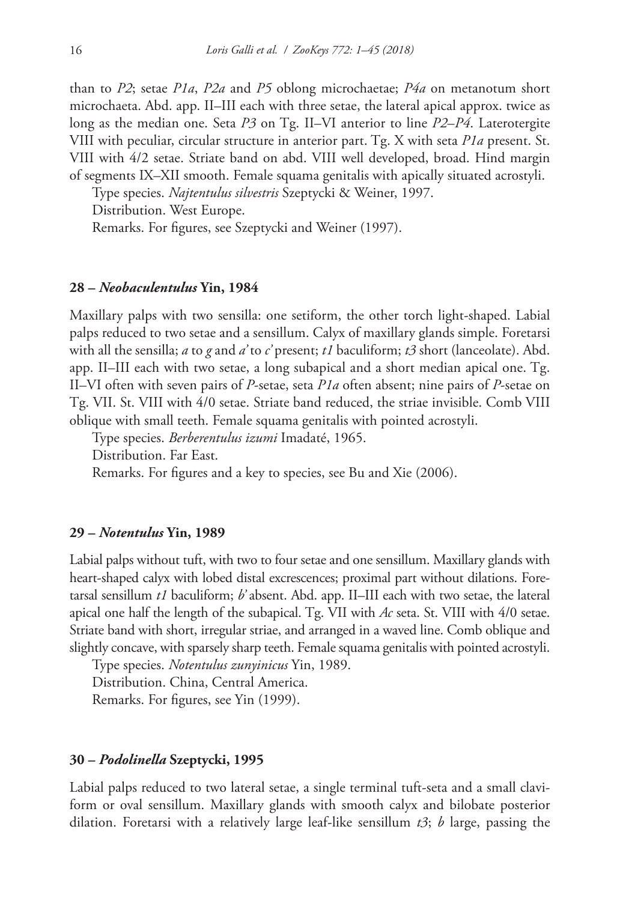than to *P2*; setae *P1a*, *P2a* and *P5* oblong microchaetae; *P4a* on metanotum short microchaeta. Abd. app. II–III each with three setae, the lateral apical approx. twice as long as the median one. Seta *P3* on Tg. II–VI anterior to line *P2*–*P4*. Laterotergite VIII with peculiar, circular structure in anterior part. Tg. X with seta *P1a* present. St. VIII with 4/2 setae. Striate band on abd. VIII well developed, broad. Hind margin of segments IX–XII smooth. Female squama genitalis with apically situated acrostyli.

Type species. *Najtentulus silvestris* Szeptycki & Weiner, 1997.

Distribution. West Europe.

Remarks. For figures, see Szeptycki and Weiner (1997).

#### **28 –** *Neobaculentulus* **Yin, 1984**

Maxillary palps with two sensilla: one setiform, the other torch light-shaped. Labial palps reduced to two setae and a sensillum. Calyx of maxillary glands simple. Foretarsi with all the sensilla; *a* to *g* and *a'* to *c'* present; *t1* baculiform; *t3* short (lanceolate). Abd. app. II–III each with two setae, a long subapical and a short median apical one. Tg. II–VI often with seven pairs of *P*-setae, seta *P1a* often absent; nine pairs of *P*-setae on Tg. VII. St. VIII with 4/0 setae. Striate band reduced, the striae invisible. Comb VIII oblique with small teeth. Female squama genitalis with pointed acrostyli.

Type species. *Berberentulus izumi* Imadaté, 1965.

Distribution. Far East.

Remarks. For figures and a key to species, see Bu and Xie (2006).

### **29 –** *Notentulus* **Yin, 1989**

Labial palps without tuft, with two to four setae and one sensillum. Maxillary glands with heart-shaped calyx with lobed distal excrescences; proximal part without dilations. Foretarsal sensillum *t1* baculiform; *b'* absent. Abd. app. II–III each with two setae, the lateral apical one half the length of the subapical. Tg. VII with *Ac* seta. St. VIII with 4/0 setae. Striate band with short, irregular striae, and arranged in a waved line. Comb oblique and slightly concave, with sparsely sharp teeth. Female squama genitalis with pointed acrostyli.

Type species. *Notentulus zunyinicus* Yin, 1989.

Distribution. China, Central America.

Remarks. For figures, see Yin (1999).

#### **30 –** *Podolinella* **Szeptycki, 1995**

Labial palps reduced to two lateral setae, a single terminal tuft-seta and a small claviform or oval sensillum. Maxillary glands with smooth calyx and bilobate posterior dilation. Foretarsi with a relatively large leaf-like sensillum *t3*; *b* large, passing the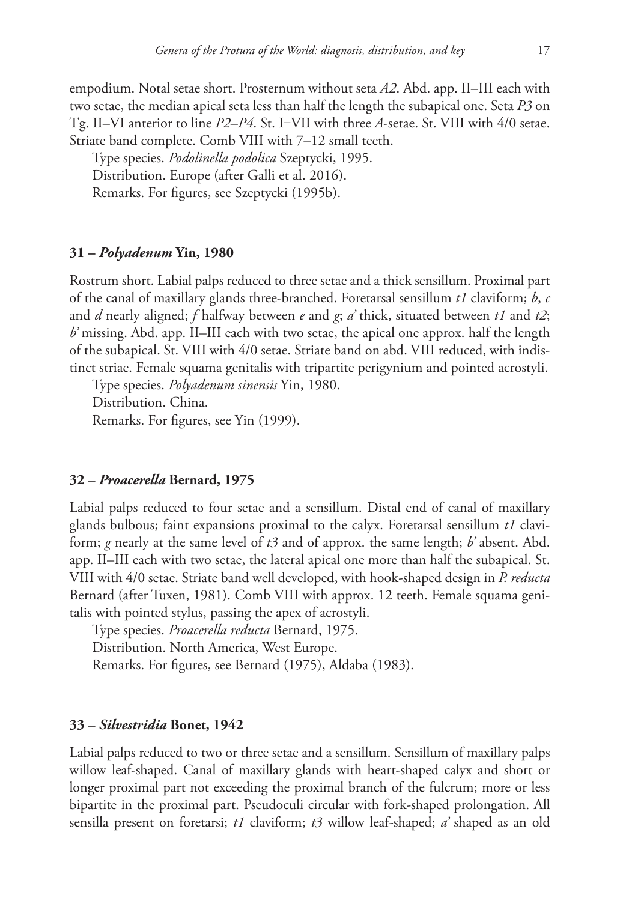empodium. Notal setae short. Prosternum without seta *A2*. Abd. app. II–III each with two setae, the median apical seta less than half the length the subapical one. Seta *P3* on Tg. II–VI anterior to line *P2*–*P4*. St. I‒VII with three *A*-setae. St. VIII with 4/0 setae. Striate band complete. Comb VIII with 7–12 small teeth.

Type species. *Podolinella podolica* Szeptycki, 1995. Distribution. Europe (after Galli et al. 2016). Remarks. For figures, see Szeptycki (1995b).

## **31 –** *Polyadenum* **Yin, 1980**

Rostrum short. Labial palps reduced to three setae and a thick sensillum. Proximal part of the canal of maxillary glands three-branched. Foretarsal sensillum *t1* claviform; *b*, *c* and *d* nearly aligned; *f* halfway between *e* and *g*; *a'* thick, situated between *t1* and *t2*; *b'* missing. Abd. app. II–III each with two setae, the apical one approx. half the length of the subapical. St. VIII with 4/0 setae. Striate band on abd. VIII reduced, with indistinct striae. Female squama genitalis with tripartite perigynium and pointed acrostyli.

Type species. *Polyadenum sinensis* Yin, 1980. Distribution. China. Remarks. For figures, see Yin (1999).

## **32 –** *Proacerella* **Bernard, 1975**

Labial palps reduced to four setae and a sensillum. Distal end of canal of maxillary glands bulbous; faint expansions proximal to the calyx. Foretarsal sensillum *t1* claviform; *g* nearly at the same level of *t3* and of approx. the same length; *b'* absent. Abd. app. II–III each with two setae, the lateral apical one more than half the subapical. St. VIII with 4/0 setae. Striate band well developed, with hook-shaped design in *P. reducta* Bernard (after Tuxen, 1981). Comb VIII with approx. 12 teeth. Female squama genitalis with pointed stylus, passing the apex of acrostyli.

Type species. *Proacerella reducta* Bernard, 1975. Distribution. North America, West Europe. Remarks. For figures, see Bernard (1975), Aldaba (1983).

## **33 –** *Silvestridia* **Bonet, 1942**

Labial palps reduced to two or three setae and a sensillum. Sensillum of maxillary palps willow leaf-shaped. Canal of maxillary glands with heart-shaped calyx and short or longer proximal part not exceeding the proximal branch of the fulcrum; more or less bipartite in the proximal part. Pseudoculi circular with fork-shaped prolongation. All sensilla present on foretarsi; *t1* claviform; *t3* willow leaf-shaped; *a'* shaped as an old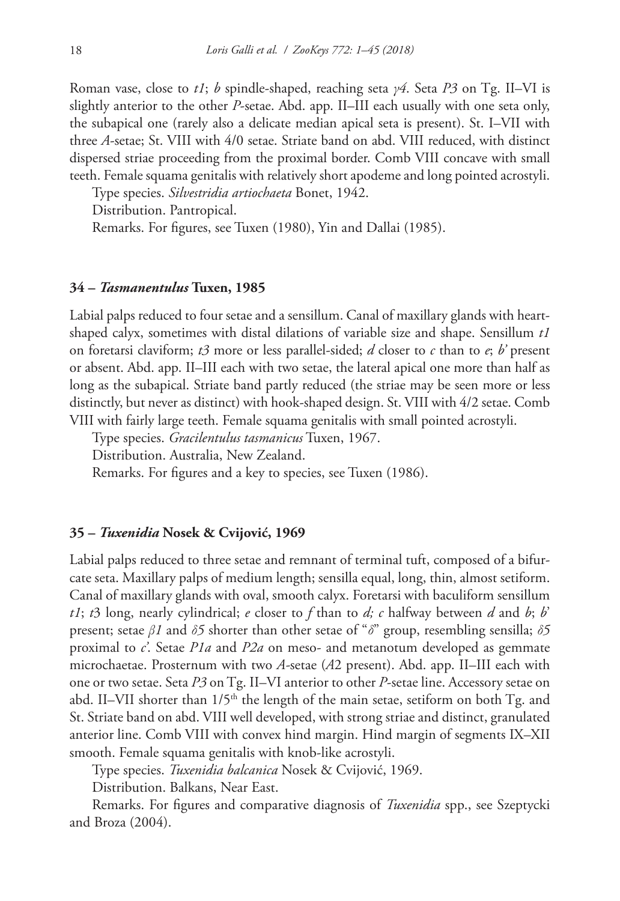Roman vase, close to *t1*; *b* spindle-shaped, reaching seta *γ4*. Seta *P3* on Tg. II–VI is slightly anterior to the other *P*-setae. Abd. app. II–III each usually with one seta only, the subapical one (rarely also a delicate median apical seta is present). St. I–VII with three *A*-setae; St. VIII with 4/0 setae. Striate band on abd. VIII reduced, with distinct dispersed striae proceeding from the proximal border. Comb VIII concave with small teeth. Female squama genitalis with relatively short apodeme and long pointed acrostyli.

Type species. *Silvestridia artiochaeta* Bonet, 1942.

Distribution. Pantropical.

Remarks. For figures, see Tuxen (1980), Yin and Dallai (1985).

## **34 –** *Tasmanentulus* **Tuxen, 1985**

Labial palps reduced to four setae and a sensillum. Canal of maxillary glands with heartshaped calyx, sometimes with distal dilations of variable size and shape. Sensillum *t1*  on foretarsi claviform; *t3* more or less parallel-sided; *d* closer to *c* than to *e*; *b'* present or absent. Abd. app. II–III each with two setae, the lateral apical one more than half as long as the subapical. Striate band partly reduced (the striae may be seen more or less distinctly, but never as distinct) with hook-shaped design. St. VIII with 4/2 setae. Comb VIII with fairly large teeth. Female squama genitalis with small pointed acrostyli.

Type species. *Gracilentulus tasmanicus* Tuxen, 1967. Distribution. Australia, New Zealand.

Remarks. For figures and a key to species, see Tuxen (1986).

### **35 –** *Tuxenidia* **Nosek & Cvijović, 1969**

Labial palps reduced to three setae and remnant of terminal tuft, composed of a bifurcate seta. Maxillary palps of medium length; sensilla equal, long, thin, almost setiform. Canal of maxillary glands with oval, smooth calyx. Foretarsi with baculiform sensillum *t1*; *t*3 long, nearly cylindrical; *e* closer to *f* than to *d*; *c* halfway between *d* and *b*; *b*' present; setae *β1* and *δ5* shorter than other setae of "*δ*" group, resembling sensilla; *δ5* proximal to *c'*. Setae *P1a* and *P2a* on meso- and metanotum developed as gemmate microchaetae. Prosternum with two *A-*setae (*A*2 present). Abd. app. II–III each with one or two setae. Seta *P3* on Tg. II–VI anterior to other *P*-setae line. Accessory setae on abd. II–VII shorter than  $1/5<sup>th</sup>$  the length of the main setae, setiform on both Tg. and St. Striate band on abd. VIII well developed, with strong striae and distinct, granulated anterior line. Comb VIII with convex hind margin. Hind margin of segments IX–XII smooth. Female squama genitalis with knob-like acrostyli.

Type species. *Tuxenidia balcanica* Nosek & Cvijović, 1969.

Distribution. Balkans, Near East.

Remarks. For figures and comparative diagnosis of *Tuxenidia* spp., see Szeptycki and Broza (2004).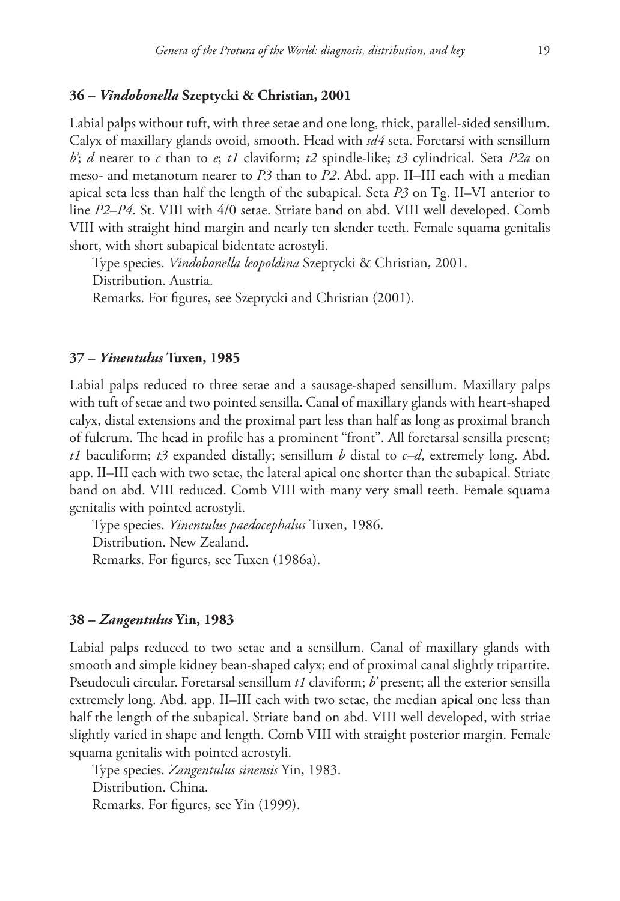## **36 –** *Vindobonella* **Szeptycki & Christian, 2001**

Labial palps without tuft, with three setae and one long, thick, parallel-sided sensillum. Calyx of maxillary glands ovoid, smooth. Head with *sd4* seta. Foretarsi with sensillum *b'*; *d* nearer to *c* than to *e*; *t1* claviform; *t2* spindle-like; *t3* cylindrical. Seta *P2a* on meso- and metanotum nearer to *P3* than to *P2*. Abd. app. II–III each with a median apical seta less than half the length of the subapical. Seta *P3* on Tg. II–VI anterior to line *P2*–*P4*. St. VIII with 4/0 setae. Striate band on abd. VIII well developed. Comb VIII with straight hind margin and nearly ten slender teeth. Female squama genitalis short, with short subapical bidentate acrostyli.

Type species. *Vindobonella leopoldina* Szeptycki & Christian, 2001. Distribution. Austria.

Remarks. For figures, see Szeptycki and Christian (2001).

## **37 –** *Yinentulus* **Tuxen, 1985**

Labial palps reduced to three setae and a sausage-shaped sensillum. Maxillary palps with tuft of setae and two pointed sensilla. Canal of maxillary glands with heart-shaped calyx, distal extensions and the proximal part less than half as long as proximal branch of fulcrum. The head in profile has a prominent "front". All foretarsal sensilla present; *t1* baculiform; *t3* expanded distally; sensillum *b* distal to *c–d*, extremely long. Abd. app. II–III each with two setae, the lateral apical one shorter than the subapical. Striate band on abd. VIII reduced. Comb VIII with many very small teeth. Female squama genitalis with pointed acrostyli.

Type species. *Yinentulus paedocephalus* Tuxen, 1986. Distribution. New Zealand. Remarks. For figures, see Tuxen (1986a).

#### **38 –** *Zangentulus* **Yin, 1983**

Labial palps reduced to two setae and a sensillum. Canal of maxillary glands with smooth and simple kidney bean-shaped calyx; end of proximal canal slightly tripartite. Pseudoculi circular. Foretarsal sensillum *t1* claviform; *b'* present; all the exterior sensilla extremely long. Abd. app. II–III each with two setae, the median apical one less than half the length of the subapical. Striate band on abd. VIII well developed, with striae slightly varied in shape and length. Comb VIII with straight posterior margin. Female squama genitalis with pointed acrostyli.

Type species. *Zangentulus sinensis* Yin, 1983. Distribution. China. Remarks. For figures, see Yin (1999).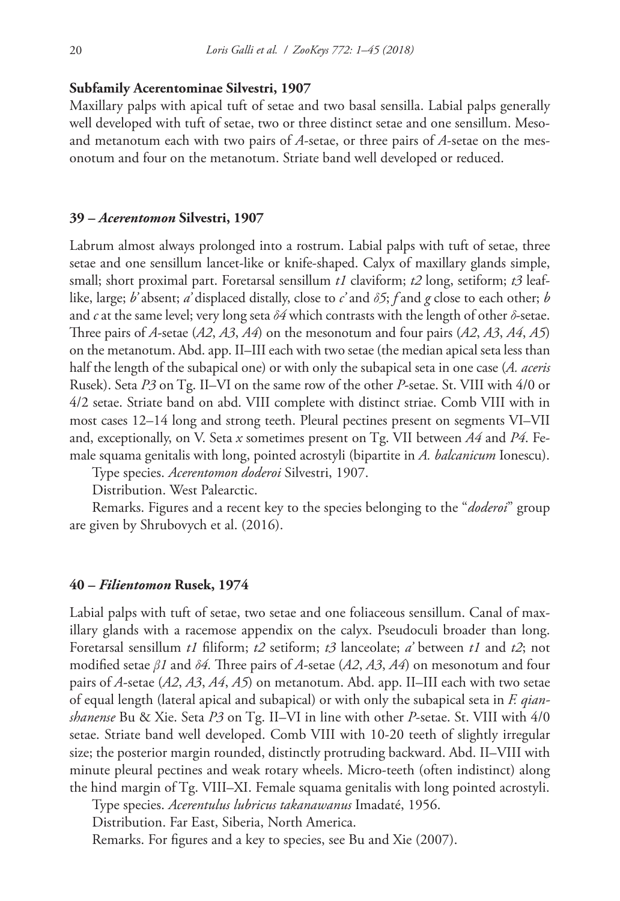## **Subfamily Acerentominae Silvestri, 1907**

Maxillary palps with apical tuft of setae and two basal sensilla. Labial palps generally well developed with tuft of setae, two or three distinct setae and one sensillum. Mesoand metanotum each with two pairs of *A*-setae, or three pairs of *A*-setae on the mesonotum and four on the metanotum. Striate band well developed or reduced.

#### **39 –** *Acerentomon* **Silvestri, 1907**

Labrum almost always prolonged into a rostrum. Labial palps with tuft of setae, three setae and one sensillum lancet-like or knife-shaped. Calyx of maxillary glands simple, small; short proximal part. Foretarsal sensillum *t1* claviform; *t2* long, setiform; *t3* leaflike, large; *b'* absent; *a'* displaced distally, close to *c'* and *δ5*; *f* and *g* close to each other; *b* and *c* at the same level; very long seta *δ4* which contrasts with the length of other *δ*-setae. Three pairs of *A*-setae (*A2*, *A3*, *A4*) on the mesonotum and four pairs (*A2*, *A3*, *A4*, *A5*) on the metanotum. Abd. app. II–III each with two setae (the median apical seta less than half the length of the subapical one) or with only the subapical seta in one case (*A. aceris* Rusek). Seta *P3* on Tg. II–VI on the same row of the other *P*-setae. St. VIII with 4/0 or 4/2 setae. Striate band on abd. VIII complete with distinct striae. Comb VIII with in most cases 12–14 long and strong teeth. Pleural pectines present on segments VI–VII and, exceptionally, on V. Seta *x* sometimes present on Tg. VII between *A4* and *P4*. Female squama genitalis with long, pointed acrostyli (bipartite in *A. balcanicum* Ionescu).

Type species. *Acerentomon doderoi* Silvestri, 1907.

Distribution. West Palearctic.

Remarks. Figures and a recent key to the species belonging to the "*doderoi*" group are given by Shrubovych et al. (2016).

#### **40 –** *Filientomon* **Rusek, 1974**

Labial palps with tuft of setae, two setae and one foliaceous sensillum. Canal of maxillary glands with a racemose appendix on the calyx. Pseudoculi broader than long. Foretarsal sensillum *t1* filiform; *t2* setiform; *t3* lanceolate; *a'* between *t1* and *t2*; not modified setae *β1* and *δ4.* Three pairs of *A*-setae (*A2*, *A3*, *A4*) on mesonotum and four pairs of *A*-setae (*A2*, *A3*, *A4*, *A5*) on metanotum. Abd. app. II–III each with two setae of equal length (lateral apical and subapical) or with only the subapical seta in *F. qianshanense* Bu & Xie. Seta *P3* on Tg. II–VI in line with other *P*-setae. St. VIII with 4/0 setae. Striate band well developed. Comb VIII with 10-20 teeth of slightly irregular size; the posterior margin rounded, distinctly protruding backward. Abd. II–VIII with minute pleural pectines and weak rotary wheels. Micro-teeth (often indistinct) along the hind margin of Tg. VIII–XI. Female squama genitalis with long pointed acrostyli.

Type species. *Acerentulus lubricus takanawanus* Imadaté, 1956.

Distribution. Far East, Siberia, North America.

Remarks. For figures and a key to species, see Bu and Xie (2007).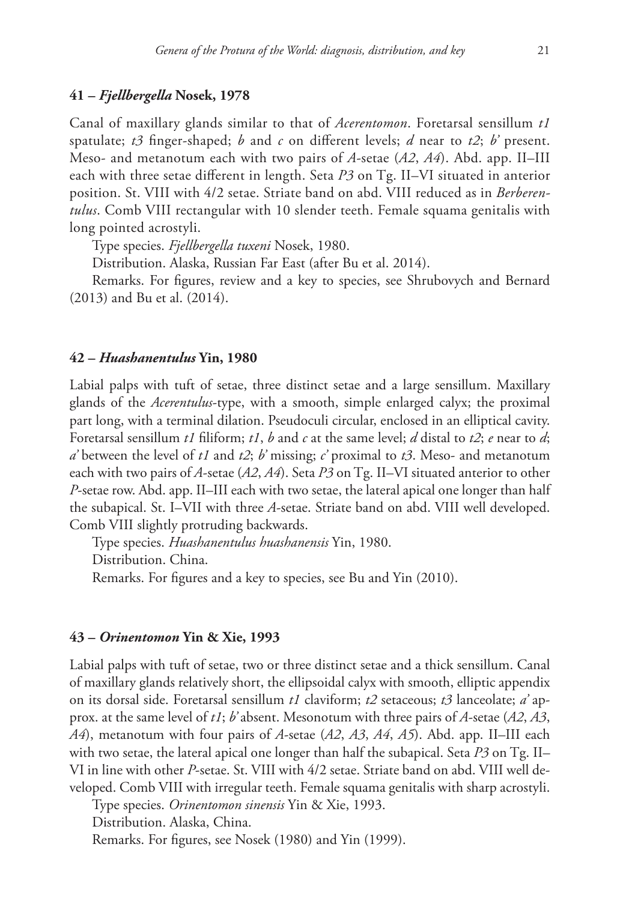## **41 –** *Fjellbergella* **Nosek, 1978**

Canal of maxillary glands similar to that of *Acerentomon*. Foretarsal sensillum *t1* spatulate; *t3* finger-shaped; *b* and *c* on different levels; *d* near to *t2*; *b'* present. Meso- and metanotum each with two pairs of *A*-setae (*A2*, *A4*). Abd. app. II–III each with three setae different in length. Seta *P3* on Tg. II–VI situated in anterior position. St. VIII with 4/2 setae. Striate band on abd. VIII reduced as in *Berberentulus*. Comb VIII rectangular with 10 slender teeth. Female squama genitalis with long pointed acrostyli.

Type species. *Fjellbergella tuxeni* Nosek, 1980.

Distribution. Alaska, Russian Far East (after Bu et al. 2014).

Remarks. For figures, review and a key to species, see Shrubovych and Bernard (2013) and Bu et al. (2014).

#### **42 –** *Huashanentulus* **Yin, 1980**

Labial palps with tuft of setae, three distinct setae and a large sensillum. Maxillary glands of the *Acerentulus*-type, with a smooth, simple enlarged calyx; the proximal part long, with a terminal dilation. Pseudoculi circular, enclosed in an elliptical cavity. Foretarsal sensillum *t1* filiform; *t1*, *b* and *c* at the same level; *d* distal to *t2*; *e* near to *d*; *a'* between the level of *t1* and *t2*; *b'* missing; *c'* proximal to *t3*. Meso- and metanotum each with two pairs of *A*-setae (*A2*, *A4*). Seta *P3* on Tg. II–VI situated anterior to other *P*-setae row. Abd. app. II–III each with two setae, the lateral apical one longer than half the subapical. St. I–VII with three *A*-setae. Striate band on abd. VIII well developed. Comb VIII slightly protruding backwards.

Type species. *Huashanentulus huashanensis* Yin, 1980.

Distribution. China.

Remarks. For figures and a key to species, see Bu and Yin (2010).

#### **43 –** *Orinentomon* **Yin & Xie, 1993**

Labial palps with tuft of setae, two or three distinct setae and a thick sensillum. Canal of maxillary glands relatively short, the ellipsoidal calyx with smooth, elliptic appendix on its dorsal side. Foretarsal sensillum *t1* claviform; *t2* setaceous; *t3* lanceolate; *a'* approx. at the same level of *t1*; *b'* absent. Mesonotum with three pairs of *A*-setae (*A2*, *A3*, *A4*), metanotum with four pairs of *A*-setae (*A2*, *A3*, *A4*, *A5*). Abd. app. II–III each with two setae, the lateral apical one longer than half the subapical. Seta *P3* on Tg. II– VI in line with other *P*-setae. St. VIII with 4/2 setae. Striate band on abd. VIII well developed. Comb VIII with irregular teeth. Female squama genitalis with sharp acrostyli.

Type species. *Orinentomon sinensis* Yin & Xie, 1993.

Distribution. Alaska, China.

Remarks. For figures, see Nosek (1980) and Yin (1999).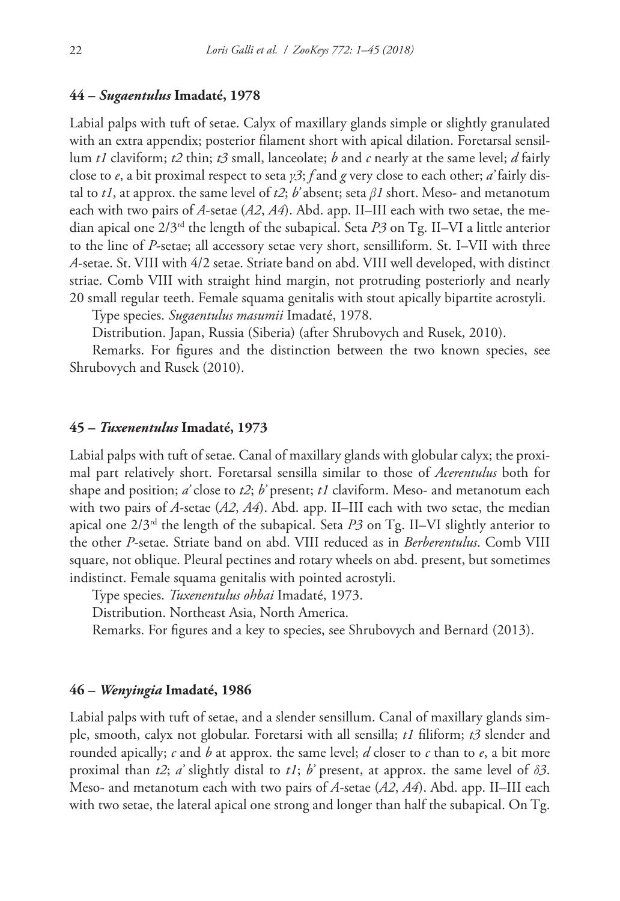# **44 –** *Sugaentulus* **Imadaté, 1978**

Labial palps with tuft of setae. Calyx of maxillary glands simple or slightly granulated with an extra appendix; posterior filament short with apical dilation. Foretarsal sensillum *t1* claviform; *t2* thin; *t3* small, lanceolate; *b* and *c* nearly at the same level; *d* fairly close to *e*, a bit proximal respect to seta *γ3*; *f* and *g* very close to each other; *a'* fairly distal to *t1*, at approx. the same level of *t2*; *b'* absent; seta *β1* short. Meso- and metanotum each with two pairs of *A*-setae (*A2*, *A4*). Abd. app. II–III each with two setae, the median apical one 2/3rd the length of the subapical. Seta *P3* on Tg. II–VI a little anterior to the line of *P*-setae; all accessory setae very short, sensilliform. St. I–VII with three *A*-setae. St. VIII with 4/2 setae. Striate band on abd. VIII well developed, with distinct striae. Comb VIII with straight hind margin, not protruding posteriorly and nearly 20 small regular teeth. Female squama genitalis with stout apically bipartite acrostyli.

Type species. *Sugaentulus masumii* Imadaté, 1978.

Distribution. Japan, Russia (Siberia) (after Shrubovych and Rusek, 2010).

Remarks. For figures and the distinction between the two known species, see Shrubovych and Rusek (2010).

#### **45 –** *Tuxenentulus* **Imadaté, 1973**

Labial palps with tuft of setae. Canal of maxillary glands with globular calyx; the proximal part relatively short. Foretarsal sensilla similar to those of *Acerentulus* both for shape and position; *a'* close to *t2*; *b'* present; *t1* claviform. Meso- and metanotum each with two pairs of *A*-setae (*A2*, *A4*). Abd. app. II–III each with two setae, the median apical one  $2/3<sup>rd</sup>$  the length of the subapical. Seta *P3* on Tg. II–VI slightly anterior to the other *P*-setae. Striate band on abd. VIII reduced as in *Berberentulus*. Comb VIII square, not oblique. Pleural pectines and rotary wheels on abd. present, but sometimes indistinct. Female squama genitalis with pointed acrostyli.

Type species. *Tuxenentulus ohbai* Imadaté, 1973.

Distribution. Northeast Asia, North America.

Remarks. For figures and a key to species, see Shrubovych and Bernard (2013).

#### **46 –** *Wenyingia* **Imadaté, 1986**

Labial palps with tuft of setae, and a slender sensillum. Canal of maxillary glands simple, smooth, calyx not globular. Foretarsi with all sensilla; *t1* filiform; *t3* slender and rounded apically; *c* and *b* at approx. the same level; *d* closer to *c* than to *e*, a bit more proximal than *t2*; *a'* slightly distal to *t1*; *b'* present, at approx. the same level of *δ3*. Meso- and metanotum each with two pairs of *A*-setae (*A2*, *A4*). Abd. app. II–III each with two setae, the lateral apical one strong and longer than half the subapical. On Tg.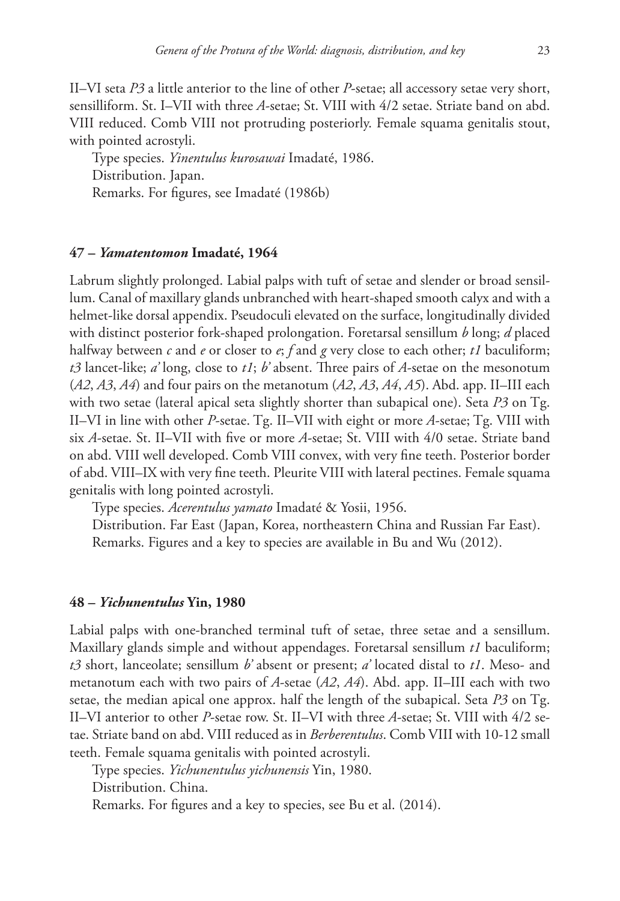II–VI seta *P3* a little anterior to the line of other *P*-setae; all accessory setae very short, sensilliform. St. I–VII with three *A*-setae; St. VIII with 4/2 setae. Striate band on abd. VIII reduced. Comb VIII not protruding posteriorly. Female squama genitalis stout, with pointed acrostyli.

Type species. *Yinentulus kurosawai* Imadaté, 1986. Distribution. Japan. Remarks. For figures, see Imadaté (1986b)

#### **47 –** *Yamatentomon* **Imadaté, 1964**

Labrum slightly prolonged. Labial palps with tuft of setae and slender or broad sensillum. Canal of maxillary glands unbranched with heart-shaped smooth calyx and with a helmet-like dorsal appendix. Pseudoculi elevated on the surface, longitudinally divided with distinct posterior fork-shaped prolongation. Foretarsal sensillum *b* long; *d* placed halfway between *c* and *e* or closer to *e*; *f* and *g* very close to each other; *t1* baculiform; *t3* lancet-like; *a'* long, close to *t1*; *b'* absent. Three pairs of *A*-setae on the mesonotum (*A2*, *A3*, *A4*) and four pairs on the metanotum (*A2*, *A3*, *A4*, *A5*). Abd. app. II–III each with two setae (lateral apical seta slightly shorter than subapical one). Seta *P3* on Tg. II–VI in line with other *P*-setae. Tg. II–VII with eight or more *A*-setae; Tg. VIII with six *A*-setae. St. II–VII with five or more *A*-setae; St. VIII with 4/0 setae. Striate band on abd. VIII well developed. Comb VIII convex, with very fine teeth. Posterior border of abd. VIII–IX with very fine teeth. Pleurite VIII with lateral pectines. Female squama genitalis with long pointed acrostyli.

Type species. *Acerentulus yamato* Imadaté & Yosii, 1956.

Distribution. Far East (Japan, Korea, northeastern China and Russian Far East). Remarks. Figures and a key to species are available in Bu and Wu (2012).

## **48 –** *Yichunentulus* **Yin, 1980**

Labial palps with one-branched terminal tuft of setae, three setae and a sensillum. Maxillary glands simple and without appendages. Foretarsal sensillum *t1* baculiform; *t3* short, lanceolate; sensillum *b'* absent or present; *a'* located distal to *t1*. Meso- and metanotum each with two pairs of *A*-setae (*A2*, *A4*). Abd. app. II–III each with two setae, the median apical one approx. half the length of the subapical. Seta *P3* on Tg. II–VI anterior to other *P*-setae row. St. II–VI with three *A*-setae; St. VIII with 4/2 setae. Striate band on abd. VIII reduced as in *Berberentulus*. Comb VIII with 10-12 small teeth. Female squama genitalis with pointed acrostyli.

Type species. *Yichunentulus yichunensis* Yin, 1980.

Distribution. China.

Remarks. For figures and a key to species, see Bu et al. (2014).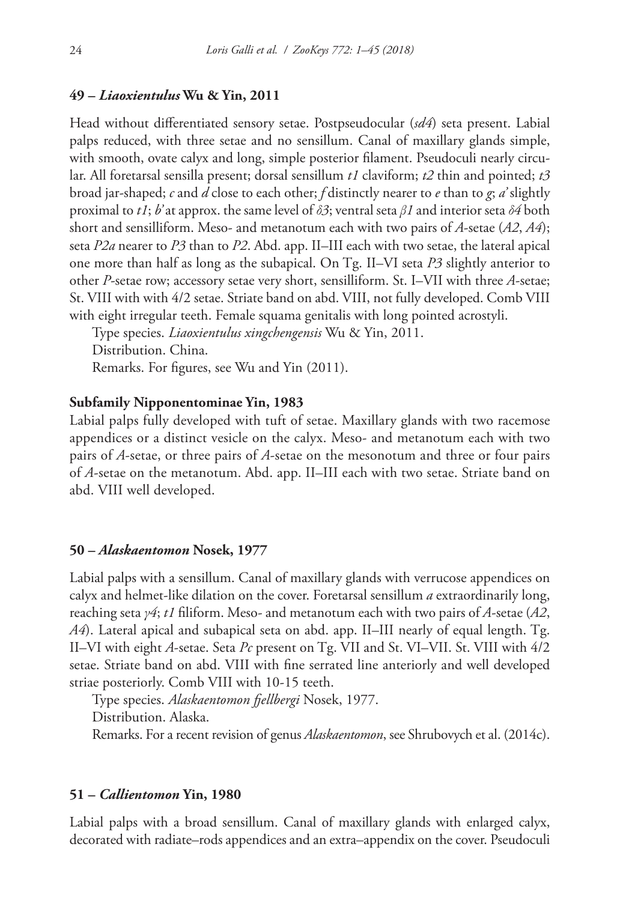## **49 –** *Liaoxientulus* **Wu & Yin, 2011**

Head without differentiated sensory setae. Postpseudocular (*sd4*) seta present. Labial palps reduced, with three setae and no sensillum. Canal of maxillary glands simple, with smooth, ovate calyx and long, simple posterior filament. Pseudoculi nearly circular. All foretarsal sensilla present; dorsal sensillum *t1* claviform; *t2* thin and pointed; *t3* broad jar-shaped; *c* and *d* close to each other; *f* distinctly nearer to *e* than to *g*; *a'* slightly proximal to *t1*; *b'* at approx. the same level of *δ3*; ventral seta *β1* and interior seta *δ4* both short and sensilliform. Meso- and metanotum each with two pairs of *A*-setae (*A2*, *A4*); seta *P2a* nearer to *P3* than to *P2*. Abd. app. II–III each with two setae, the lateral apical one more than half as long as the subapical. On Tg. II–VI seta *P3* slightly anterior to other *P*-setae row; accessory setae very short, sensilliform. St. I–VII with three *A*-setae; St. VIII with with 4/2 setae. Striate band on abd. VIII, not fully developed. Comb VIII with eight irregular teeth. Female squama genitalis with long pointed acrostyli.

Type species. *Liaoxientulus xingchengensis* Wu & Yin, 2011.

Distribution. China.

Remarks. For figures, see Wu and Yin (2011).

## **Subfamily Nipponentominae Yin, 1983**

Labial palps fully developed with tuft of setae. Maxillary glands with two racemose appendices or a distinct vesicle on the calyx. Meso- and metanotum each with two pairs of *A*-setae, or three pairs of *A*-setae on the mesonotum and three or four pairs of *A*-setae on the metanotum. Abd. app. II–III each with two setae. Striate band on abd. VIII well developed.

#### **50 –** *Alaskaentomon* **Nosek, 1977**

Labial palps with a sensillum. Canal of maxillary glands with verrucose appendices on calyx and helmet-like dilation on the cover. Foretarsal sensillum *a* extraordinarily long, reaching seta *γ4*; *t1* filiform. Meso- and metanotum each with two pairs of *A*-setae (*A2*, *A4*). Lateral apical and subapical seta on abd. app. II–III nearly of equal length. Tg. II–VI with eight *A*-setae. Seta *Pc* present on Tg. VII and St. VI–VII. St. VIII with 4/2 setae. Striate band on abd. VIII with fine serrated line anteriorly and well developed striae posteriorly. Comb VIII with 10-15 teeth.

Type species. *Alaskaentomon fjellbergi* Nosek, 1977. Distribution. Alaska. Remarks. For a recent revision of genus *Alaskaentomon*, see Shrubovych et al. (2014c).

## **51 –** *Callientomon* **Yin, 1980**

Labial palps with a broad sensillum. Canal of maxillary glands with enlarged calyx, decorated with radiate–rods appendices and an extra–appendix on the cover. Pseudoculi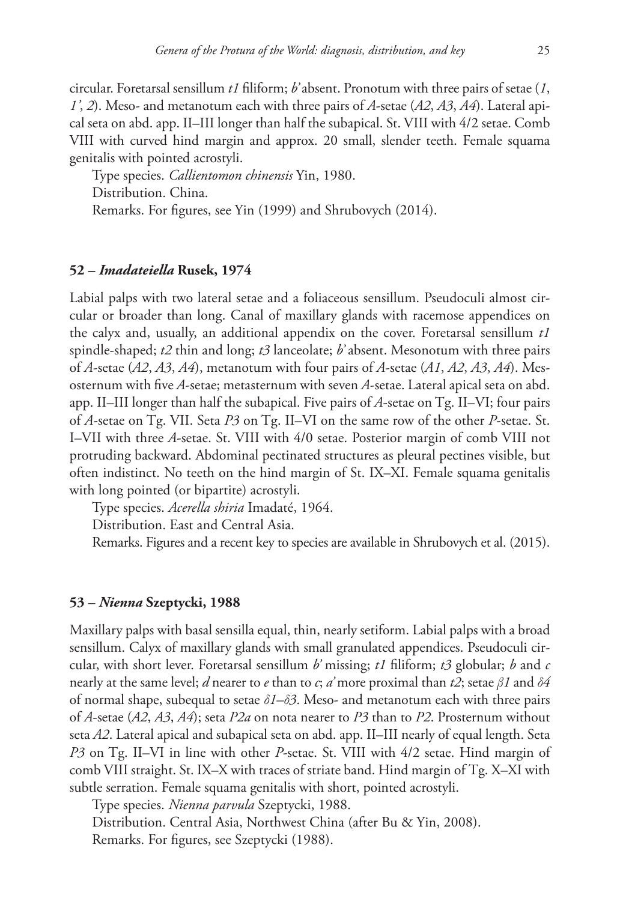circular. Foretarsal sensillum *t1* filiform; *b'* absent. Pronotum with three pairs of setae (*1*, *1'*, *2*). Meso- and metanotum each with three pairs of *A*-setae (*A2*, *A3*, *A4*). Lateral apical seta on abd. app. II–III longer than half the subapical. St. VIII with 4/2 setae. Comb VIII with curved hind margin and approx. 20 small, slender teeth. Female squama genitalis with pointed acrostyli.

Type species. *Callientomon chinensis* Yin, 1980. Distribution. China. Remarks. For figures, see Yin (1999) and Shrubovych (2014).

#### **52 –** *Imadateiella* **Rusek, 1974**

Labial palps with two lateral setae and a foliaceous sensillum. Pseudoculi almost circular or broader than long. Canal of maxillary glands with racemose appendices on the calyx and, usually, an additional appendix on the cover. Foretarsal sensillum *t1* spindle-shaped; *t2* thin and long; *t3* lanceolate; *b'* absent. Mesonotum with three pairs of *A*-setae (*A2*, *A3*, *A4*), metanotum with four pairs of *A*-setae (*A1*, *A2*, *A3*, *A4*). Mesosternum with five *A*-setae; metasternum with seven *A*-setae. Lateral apical seta on abd. app. II–III longer than half the subapical. Five pairs of *A*-setae on Tg. II–VI; four pairs of *A*-setae on Tg. VII. Seta *P3* on Tg. II–VI on the same row of the other *P*-setae. St. I–VII with three *A*-setae. St. VIII with 4/0 setae. Posterior margin of comb VIII not protruding backward. Abdominal pectinated structures as pleural pectines visible, but often indistinct. No teeth on the hind margin of St. IX–XI. Female squama genitalis with long pointed (or bipartite) acrostyli.

Type species. *Acerella shiria* Imadaté, 1964.

Distribution. East and Central Asia.

Remarks. Figures and a recent key to species are available in Shrubovych et al. (2015).

## **53 –** *Nienna* **Szeptycki, 1988**

Maxillary palps with basal sensilla equal, thin, nearly setiform. Labial palps with a broad sensillum. Calyx of maxillary glands with small granulated appendices. Pseudoculi circular, with short lever. Foretarsal sensillum *b'* missing; *t1* filiform; *t3* globular; *b* and *c* nearly at the same level; *d* nearer to *e* than to *c*; *a'* more proximal than *t2*; setae *β1* and *δ4* of normal shape, subequal to setae *δ1–δ3*. Meso- and metanotum each with three pairs of *A*-setae (*A2*, *A3*, *A4*); seta *P2a* on nota nearer to *P3* than to *P2*. Prosternum without seta *A2*. Lateral apical and subapical seta on abd. app. II–III nearly of equal length. Seta *P3* on Tg. II–VI in line with other *P*-setae. St. VIII with 4/2 setae. Hind margin of comb VIII straight. St. IX–X with traces of striate band. Hind margin of Tg. X–XI with subtle serration. Female squama genitalis with short, pointed acrostyli.

Type species. *Nienna parvula* Szeptycki, 1988.

Distribution. Central Asia, Northwest China (after Bu & Yin, 2008). Remarks. For figures, see Szeptycki (1988).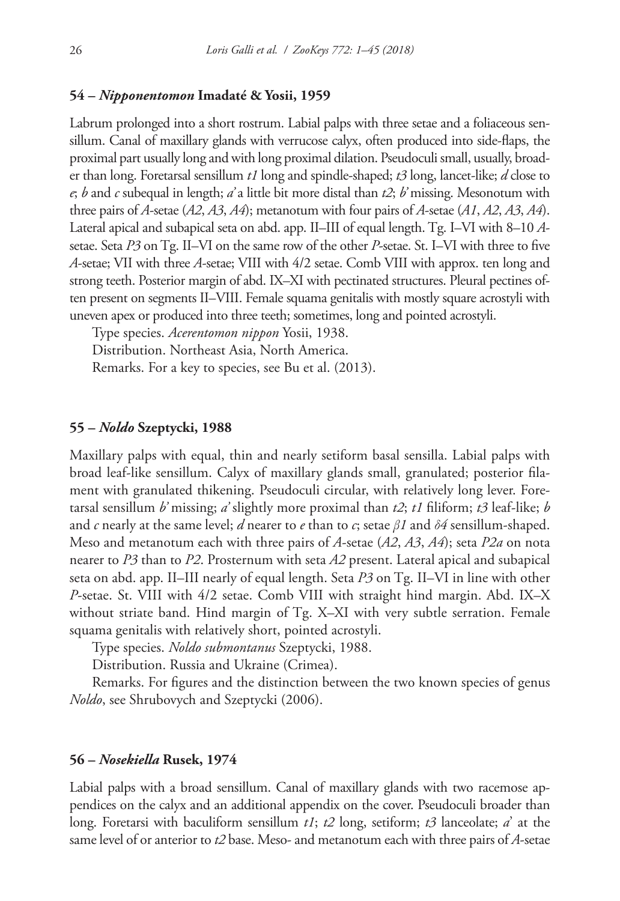## **54 –** *Nipponentomon* **Imadaté & Yosii, 1959**

Labrum prolonged into a short rostrum. Labial palps with three setae and a foliaceous sensillum. Canal of maxillary glands with verrucose calyx, often produced into side-flaps, the proximal part usually long and with long proximal dilation. Pseudoculi small, usually, broader than long. Foretarsal sensillum *t1* long and spindle-shaped; *t3* long, lancet-like; *d* close to *e*; *b* and *c* subequal in length; *a'* a little bit more distal than *t2*; *b'* missing. Mesonotum with three pairs of *A*-setae (*A2*, *A3*, *A4*); metanotum with four pairs of *A*-setae (*A1*, *A2*, *A3*, *A4*). Lateral apical and subapical seta on abd. app. II–III of equal length. Tg. I–VI with 8–10 *A*setae. Seta *P3* on Tg. II–VI on the same row of the other *P*-setae. St. I–VI with three to five *A*-setae; VII with three *A*-setae; VIII with 4/2 setae. Comb VIII with approx. ten long and strong teeth. Posterior margin of abd. IX–XI with pectinated structures. Pleural pectines often present on segments II–VIII. Female squama genitalis with mostly square acrostyli with uneven apex or produced into three teeth; sometimes, long and pointed acrostyli.

Type species. *Acerentomon nippon* Yosii, 1938. Distribution. Northeast Asia, North America. Remarks. For a key to species, see Bu et al. (2013).

#### **55 –** *Noldo* **Szeptycki, 1988**

Maxillary palps with equal, thin and nearly setiform basal sensilla. Labial palps with broad leaf-like sensillum. Calyx of maxillary glands small, granulated; posterior filament with granulated thikening. Pseudoculi circular, with relatively long lever. Foretarsal sensillum *b'* missing; *a'* slightly more proximal than *t2*; *t1* filiform; *t3* leaf-like; *b* and *c* nearly at the same level; *d* nearer to *e* than to *c*; setae *β1* and *δ4* sensillum-shaped. Meso and metanotum each with three pairs of *A*-setae (*A2*, *A3*, *A4*); seta *P2a* on nota nearer to *P3* than to *P2*. Prosternum with seta *A2* present. Lateral apical and subapical seta on abd. app. II–III nearly of equal length. Seta *P3* on Tg. II–VI in line with other *P*-setae. St. VIII with 4/2 setae. Comb VIII with straight hind margin. Abd. IX–X without striate band. Hind margin of Tg. X–XI with very subtle serration. Female squama genitalis with relatively short, pointed acrostyli.

Type species. *Noldo submontanus* Szeptycki, 1988.

Distribution. Russia and Ukraine (Crimea).

Remarks. For figures and the distinction between the two known species of genus *Noldo*, see Shrubovych and Szeptycki (2006).

#### **56 –** *Nosekiella* **Rusek, 1974**

Labial palps with a broad sensillum. Canal of maxillary glands with two racemose appendices on the calyx and an additional appendix on the cover. Pseudoculi broader than long. Foretarsi with baculiform sensillum *t1*; *t2* long, setiform; *t3* lanceolate; *a*' at the same level of or anterior to *t2* base. Meso- and metanotum each with three pairs of *A*-setae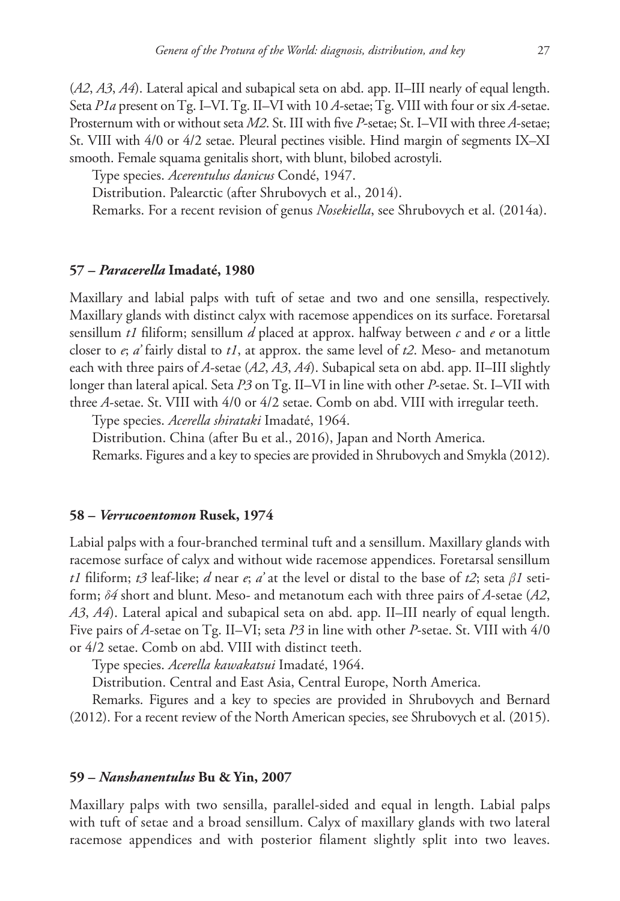(*A2*, *A3*, *A4*). Lateral apical and subapical seta on abd. app. II–III nearly of equal length. Seta *P1a* present on Tg. I–VI. Tg. II–VI with 10 *A*-setae; Tg. VIII with four or six *A*-setae. Prosternum with or without seta *M2*. St. III with five *P*-setae; St. I–VII with three *A*-setae; St. VIII with 4/0 or 4/2 setae. Pleural pectines visible. Hind margin of segments IX–XI smooth. Female squama genitalis short, with blunt, bilobed acrostyli.

Type species. *Acerentulus danicus* Condé, 1947.

Distribution. Palearctic (after Shrubovych et al., 2014).

Remarks. For a recent revision of genus *Nosekiella*, see Shrubovych et al. (2014a).

#### **57 –** *Paracerella* **Imadaté, 1980**

Maxillary and labial palps with tuft of setae and two and one sensilla, respectively. Maxillary glands with distinct calyx with racemose appendices on its surface. Foretarsal sensillum *t1* filiform; sensillum *d* placed at approx. halfway between *c* and *e* or a little closer to *e*; *a'* fairly distal to *t1*, at approx. the same level of *t2*. Meso- and metanotum each with three pairs of *A*-setae (*A2*, *A3*, *A4*). Subapical seta on abd. app. II–III slightly longer than lateral apical. Seta *P3* on Tg. II–VI in line with other *P*-setae. St. I–VII with three *A*-setae. St. VIII with 4/0 or 4/2 setae. Comb on abd. VIII with irregular teeth.

Type species. *Acerella shirataki* Imadaté, 1964.

Distribution. China (after Bu et al., 2016), Japan and North America.

Remarks. Figures and a key to species are provided in Shrubovych and Smykla (2012).

## **58 –** *Verrucoentomon* **Rusek, 1974**

Labial palps with a four-branched terminal tuft and a sensillum. Maxillary glands with racemose surface of calyx and without wide racemose appendices. Foretarsal sensillum *t1* filiform; *t3* leaf-like; *d* near *e*; *a'* at the level or distal to the base of *t2*; seta *β1* setiform; *δ4* short and blunt. Meso- and metanotum each with three pairs of *A*-setae (*A2*, *A3*, *A4*). Lateral apical and subapical seta on abd. app. II–III nearly of equal length. Five pairs of *A*-setae on Tg. II–VI; seta *P3* in line with other *P*-setae. St. VIII with 4/0 or 4/2 setae. Comb on abd. VIII with distinct teeth.

Type species. *Acerella kawakatsui* Imadaté, 1964.

Distribution. Central and East Asia, Central Europe, North America.

Remarks. Figures and a key to species are provided in Shrubovych and Bernard (2012). For a recent review of the North American species, see Shrubovych et al. (2015).

## **59 –** *Nanshanentulus* **Bu & Yin, 2007**

Maxillary palps with two sensilla, parallel-sided and equal in length. Labial palps with tuft of setae and a broad sensillum. Calyx of maxillary glands with two lateral racemose appendices and with posterior filament slightly split into two leaves.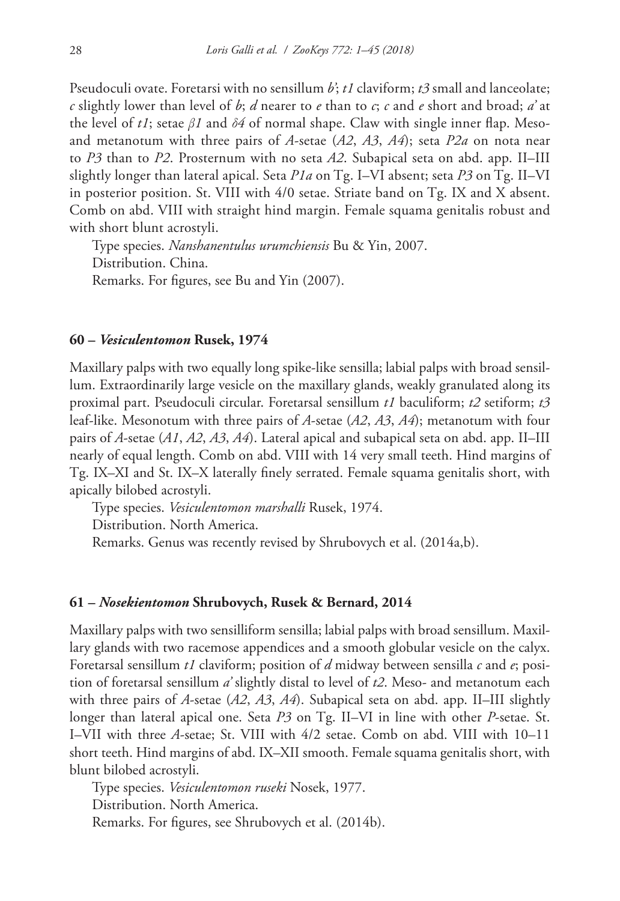Pseudoculi ovate. Foretarsi with no sensillum *b'*; *t1* claviform; *t3* small and lanceolate; *c* slightly lower than level of *b*; *d* nearer to *e* than to *c*; *c* and *e* short and broad; *a'* at the level of *t1*; setae *β1* and *δ4* of normal shape. Claw with single inner flap. Mesoand metanotum with three pairs of *A*-setae (*A2*, *A3*, *A4*); seta *P2a* on nota near to *P3* than to *P2*. Prosternum with no seta *A2*. Subapical seta on abd. app. II–III slightly longer than lateral apical. Seta *P1a* on Tg. I–VI absent; seta *P3* on Tg. II–VI in posterior position. St. VIII with 4/0 setae. Striate band on Tg. IX and X absent. Comb on abd. VIII with straight hind margin. Female squama genitalis robust and with short blunt acrostyli.

Type species. *Nanshanentulus urumchiensis* Bu & Yin, 2007. Distribution. China. Remarks. For figures, see Bu and Yin (2007).

#### **60 –** *Vesiculentomon* **Rusek, 1974**

Maxillary palps with two equally long spike-like sensilla; labial palps with broad sensillum. Extraordinarily large vesicle on the maxillary glands, weakly granulated along its proximal part. Pseudoculi circular. Foretarsal sensillum *t1* baculiform; *t2* setiform; *t3* leaf-like. Mesonotum with three pairs of *A*-setae (*A2*, *A3*, *A4*); metanotum with four pairs of *A*-setae (*A1*, *A2*, *A3*, *A4*). Lateral apical and subapical seta on abd. app. II–III nearly of equal length. Comb on abd. VIII with 14 very small teeth. Hind margins of Tg. IX–XI and St. IX–X laterally finely serrated. Female squama genitalis short, with apically bilobed acrostyli.

Type species. *Vesiculentomon marshalli* Rusek, 1974.

Distribution. North America.

Remarks. Genus was recently revised by Shrubovych et al. (2014a,b).

#### **61 –** *Nosekientomon* **Shrubovych, Rusek & Bernard, 2014**

Maxillary palps with two sensilliform sensilla; labial palps with broad sensillum. Maxillary glands with two racemose appendices and a smooth globular vesicle on the calyx. Foretarsal sensillum *t1* claviform; position of *d* midway between sensilla *c* and *e*; position of foretarsal sensillum *a'* slightly distal to level of *t2*. Meso- and metanotum each with three pairs of *A*-setae (*A2*, *A3*, *A4*). Subapical seta on abd. app. II–III slightly longer than lateral apical one. Seta *P3* on Tg. II–VI in line with other *P*-setae. St. I–VII with three *A*-setae; St. VIII with 4/2 setae. Comb on abd. VIII with 10–11 short teeth. Hind margins of abd. IX–XII smooth. Female squama genitalis short, with blunt bilobed acrostyli.

Type species. *Vesiculentomon ruseki* Nosek, 1977. Distribution. North America. Remarks. For figures, see Shrubovych et al. (2014b).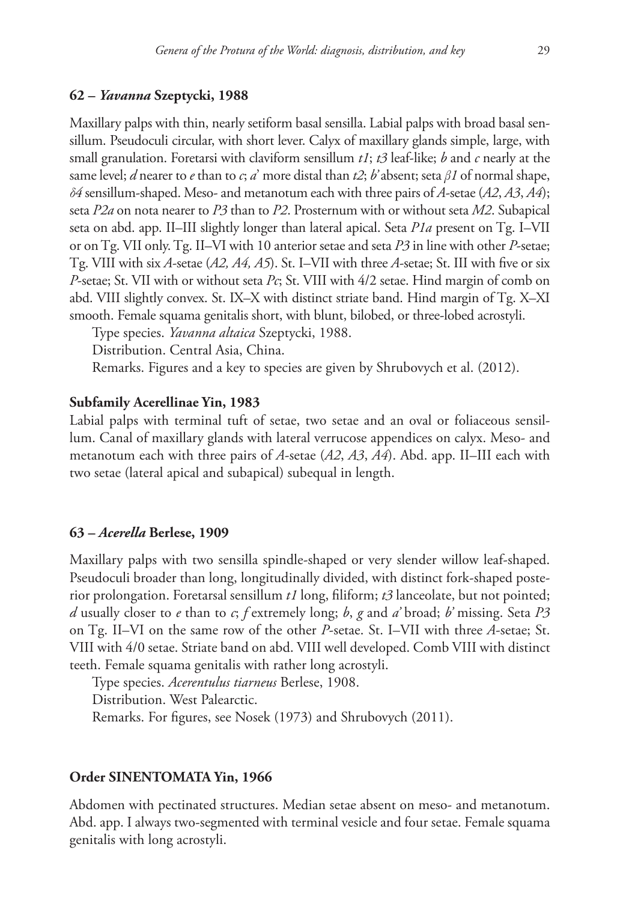#### **62 –** *Yavanna* **Szeptycki, 1988**

Maxillary palps with thin, nearly setiform basal sensilla. Labial palps with broad basal sensillum. Pseudoculi circular, with short lever. Calyx of maxillary glands simple, large, with small granulation. Foretarsi with claviform sensillum *t1*; *t3* leaf-like; *b* and *c* nearly at the same level; *d* nearer to *e* than to *c*; *a*' more distal than *t2*; *b'* absent; seta *β1* of normal shape, *δ4* sensillum-shaped. Meso- and metanotum each with three pairs of *A*-setae (*A2*, *A3*, *A4*); seta *P2a* on nota nearer to *P3* than to *P2*. Prosternum with or without seta *M2*. Subapical seta on abd. app. II–III slightly longer than lateral apical. Seta *P1a* present on Tg. I–VII or on Tg. VII only. Tg. II–VI with 10 anterior setae and seta *P3* in line with other *P*-setae; Tg. VIII with six *A*-setae (*A2, A4, A5*). St. I–VII with three *A*-setae; St. III with five or six *P*-setae; St. VII with or without seta *Pc*; St. VIII with 4/2 setae. Hind margin of comb on abd. VIII slightly convex. St. IX–X with distinct striate band. Hind margin of Tg. X–XI smooth. Female squama genitalis short, with blunt, bilobed, or three-lobed acrostyli.

Type species. *Yavanna altaica* Szeptycki, 1988.

Distribution. Central Asia, China.

Remarks. Figures and a key to species are given by Shrubovych et al. (2012).

#### **Subfamily Acerellinae Yin, 1983**

Labial palps with terminal tuft of setae, two setae and an oval or foliaceous sensillum. Canal of maxillary glands with lateral verrucose appendices on calyx. Meso- and metanotum each with three pairs of *A*-setae (*A2*, *A3*, *A4*). Abd. app. II–III each with two setae (lateral apical and subapical) subequal in length.

## **63 –** *Acerella* **Berlese, 1909**

Maxillary palps with two sensilla spindle-shaped or very slender willow leaf-shaped. Pseudoculi broader than long, longitudinally divided, with distinct fork-shaped posterior prolongation. Foretarsal sensillum *t1* long, filiform; *t3* lanceolate, but not pointed; *d* usually closer to *e* than to *c*; *f* extremely long; *b*, *g* and *a'* broad; *b'* missing. Seta *P3* on Tg. II–VI on the same row of the other *P*-setae. St. I–VII with three *A*-setae; St. VIII with 4/0 setae. Striate band on abd. VIII well developed. Comb VIII with distinct teeth. Female squama genitalis with rather long acrostyli.

Type species. *Acerentulus tiarneus* Berlese, 1908. Distribution. West Palearctic. Remarks. For figures, see Nosek (1973) and Shrubovych (2011).

#### **Order SINENTOMATA Yin, 1966**

Abdomen with pectinated structures. Median setae absent on meso- and metanotum. Abd. app. I always two-segmented with terminal vesicle and four setae. Female squama genitalis with long acrostyli.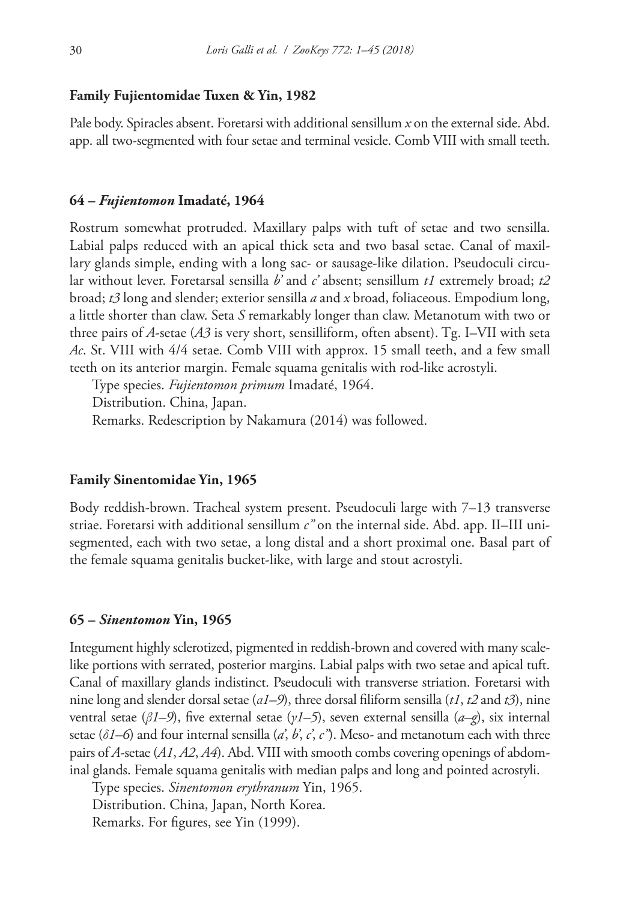#### **Family Fujientomidae Tuxen & Yin, 1982**

Pale body. Spiracles absent. Foretarsi with additional sensillum *x* on the external side. Abd. app. all two-segmented with four setae and terminal vesicle. Comb VIII with small teeth.

#### **64 –** *Fujientomon* **Imadaté, 1964**

Rostrum somewhat protruded. Maxillary palps with tuft of setae and two sensilla. Labial palps reduced with an apical thick seta and two basal setae. Canal of maxillary glands simple, ending with a long sac- or sausage-like dilation. Pseudoculi circular without lever. Foretarsal sensilla *b'* and *c'* absent; sensillum *t1* extremely broad; *t2* broad; *t3* long and slender; exterior sensilla *a* and *x* broad, foliaceous. Empodium long, a little shorter than claw. Seta *S* remarkably longer than claw. Metanotum with two or three pairs of *A*-setae (*A3* is very short, sensilliform, often absent). Tg. I–VII with seta *Ac*. St. VIII with 4/4 setae. Comb VIII with approx. 15 small teeth, and a few small teeth on its anterior margin. Female squama genitalis with rod-like acrostyli.

Type species. *Fujientomon primum* Imadaté, 1964. Distribution. China, Japan. Remarks. Redescription by Nakamura (2014) was followed.

## **Family Sinentomidae Yin, 1965**

Body reddish-brown. Tracheal system present. Pseudoculi large with 7–13 transverse striae. Foretarsi with additional sensillum *c"* on the internal side. Abd. app. II–III unisegmented, each with two setae, a long distal and a short proximal one. Basal part of the female squama genitalis bucket-like, with large and stout acrostyli.

#### **65 –** *Sinentomon* **Yin, 1965**

Integument highly sclerotized, pigmented in reddish-brown and covered with many scalelike portions with serrated, posterior margins. Labial palps with two setae and apical tuft. Canal of maxillary glands indistinct. Pseudoculi with transverse striation. Foretarsi with nine long and slender dorsal setae (*α1–9*), three dorsal filiform sensilla (*t1*, *t2* and *t3*), nine ventral setae (*β1–9*), five external setae (*γ1–5*), seven external sensilla (*a–g*), six internal setae (*δ1–6*) and four internal sensilla (*a'*, *b'*, *c'*, *c"*). Meso- and metanotum each with three pairs of *A*-setae (*A1*, *A2*, *A4*). Abd. VIII with smooth combs covering openings of abdominal glands. Female squama genitalis with median palps and long and pointed acrostyli.

Type species. *Sinentomon erythranum* Yin, 1965. Distribution. China, Japan, North Korea. Remarks. For figures, see Yin (1999).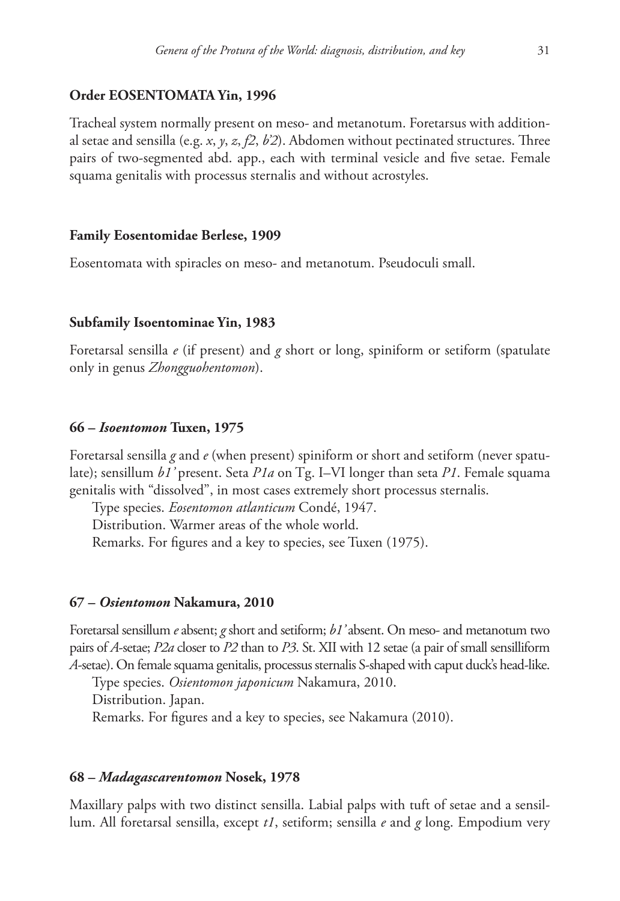## **Order EOSENTOMATA Yin, 1996**

Tracheal system normally present on meso- and metanotum. Foretarsus with additional setae and sensilla (e.g. *x*, *y*, *z*, *f2*, *b'2*). Abdomen without pectinated structures. Three pairs of two-segmented abd. app., each with terminal vesicle and five setae. Female squama genitalis with processus sternalis and without acrostyles.

#### **Family Eosentomidae Berlese, 1909**

Eosentomata with spiracles on meso- and metanotum. Pseudoculi small.

#### **Subfamily Isoentominae Yin, 1983**

Foretarsal sensilla *e* (if present) and *g* short or long, spiniform or setiform (spatulate only in genus *Zhongguohentomon*).

#### **66 –** *Isoentomon* **Tuxen, 1975**

Foretarsal sensilla *g* and *e* (when present) spiniform or short and setiform (never spatulate); sensillum *b1'* present. Seta *P1a* on Tg. I–VI longer than seta *P1*. Female squama genitalis with "dissolved", in most cases extremely short processus sternalis.

Type species. *Eosentomon atlanticum* Condé, 1947.

Distribution. Warmer areas of the whole world.

Remarks. For figures and a key to species, see Tuxen (1975).

#### **67 –** *Osientomon* **Nakamura, 2010**

Foretarsal sensillum *e* absent; *g* short and setiform; *b1'* absent. On meso- and metanotum two pairs of *A*-setae; *P2a* closer to *P2* than to *P3*. St. XII with 12 setae (a pair of small sensilliform *A*-setae). On female squama genitalis, processus sternalis S-shaped with caput duck's head-like.

Type species. *Osientomon japonicum* Nakamura, 2010. Distribution. Japan. Remarks. For figures and a key to species, see Nakamura (2010).

#### **68 –** *Madagascarentomon* **Nosek, 1978**

Maxillary palps with two distinct sensilla. Labial palps with tuft of setae and a sensillum. All foretarsal sensilla, except *t1*, setiform; sensilla *e* and *g* long. Empodium very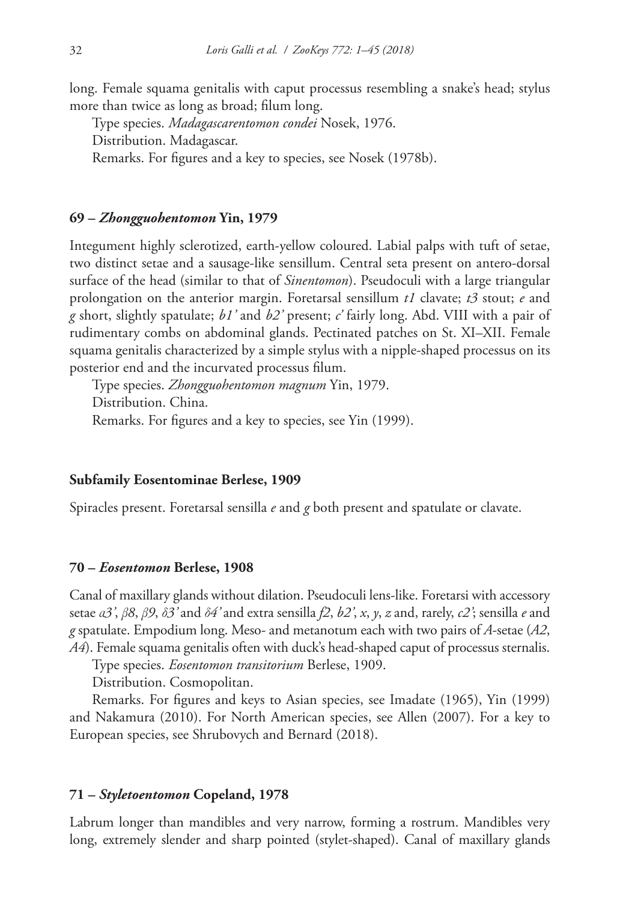long. Female squama genitalis with caput processus resembling a snake's head; stylus more than twice as long as broad; filum long.

Type species. *Madagascarentomon condei* Nosek, 1976. Distribution. Madagascar. Remarks. For figures and a key to species, see Nosek (1978b).

## **69 –** *Zhongguohentomon* **Yin, 1979**

Integument highly sclerotized, earth-yellow coloured. Labial palps with tuft of setae, two distinct setae and a sausage-like sensillum. Central seta present on antero-dorsal surface of the head (similar to that of *Sinentomon*). Pseudoculi with a large triangular prolongation on the anterior margin. Foretarsal sensillum *t1* clavate; *t3* stout; *e* and *g* short, slightly spatulate; *b1'* and *b2'* present; *c'* fairly long. Abd. VIII with a pair of rudimentary combs on abdominal glands. Pectinated patches on St. XI–XII. Female squama genitalis characterized by a simple stylus with a nipple-shaped processus on its posterior end and the incurvated processus filum.

Type species. *Zhongguohentomon magnum* Yin, 1979. Distribution. China. Remarks. For figures and a key to species, see Yin (1999).

#### **Subfamily Eosentominae Berlese, 1909**

Spiracles present. Foretarsal sensilla *e* and *g* both present and spatulate or clavate.

#### **70 –** *Eosentomon* **Berlese, 1908**

Canal of maxillary glands without dilation. Pseudoculi lens-like. Foretarsi with accessory setae *α3'*, *β8*, *β9*, *δ3'* and *δ4'* and extra sensilla *f2*, *b2'*, *x*, *y*, *z* and, rarely, *c2'*; sensilla *e* and *g* spatulate. Empodium long. Meso- and metanotum each with two pairs of *A*-setae (*A2*, *A4*). Female squama genitalis often with duck's head-shaped caput of processus sternalis.

Type species. *Eosentomon transitorium* Berlese, 1909.

Distribution. Cosmopolitan.

Remarks. For figures and keys to Asian species, see Imadate (1965), Yin (1999) and Nakamura (2010). For North American species, see Allen (2007). For a key to European species, see Shrubovych and Bernard (2018).

## **71 –** *Styletoentomon* **Copeland, 1978**

Labrum longer than mandibles and very narrow, forming a rostrum. Mandibles very long, extremely slender and sharp pointed (stylet-shaped). Canal of maxillary glands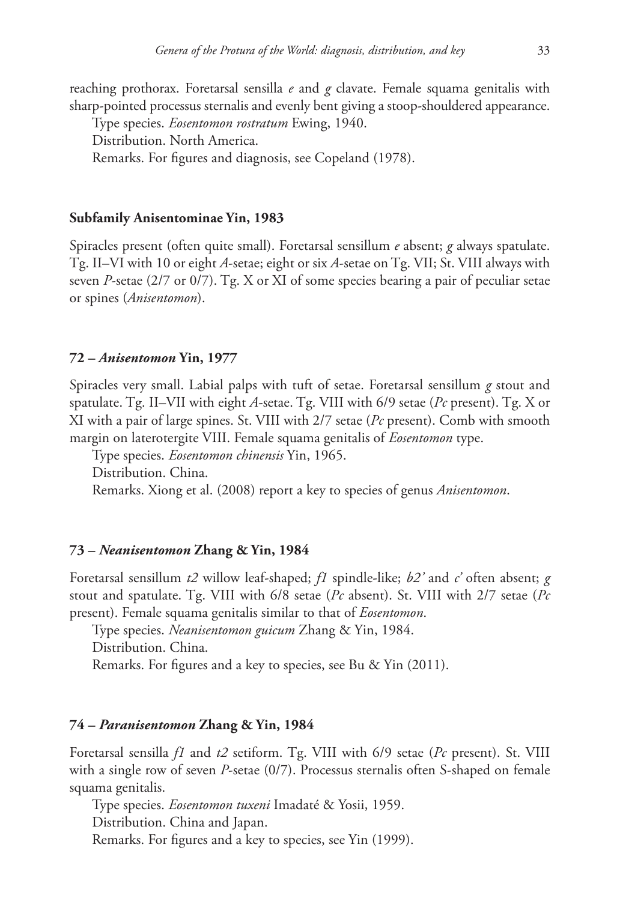reaching prothorax. Foretarsal sensilla *e* and *g* clavate. Female squama genitalis with sharp-pointed processus sternalis and evenly bent giving a stoop-shouldered appearance.

Type species. *Eosentomon rostratum* Ewing, 1940.

Distribution. North America.

Remarks. For figures and diagnosis, see Copeland (1978).

## **Subfamily Anisentominae Yin, 1983**

Spiracles present (often quite small). Foretarsal sensillum *e* absent; *g* always spatulate. Tg. II–VI with 10 or eight *A*-setae; eight or six *A*-setae on Tg. VII; St. VIII always with seven *P*-setae (2/7 or 0/7). Tg. X or XI of some species bearing a pair of peculiar setae or spines (*Anisentomon*).

#### **72 –** *Anisentomon* **Yin, 1977**

Spiracles very small. Labial palps with tuft of setae. Foretarsal sensillum *g* stout and spatulate. Tg. II–VII with eight *A*-setae. Tg. VIII with 6/9 setae (*Pc* present). Tg. X or XI with a pair of large spines. St. VIII with 2/7 setae (*Pc* present). Comb with smooth margin on laterotergite VIII. Female squama genitalis of *Eosentomon* type.

Type species. *Eosentomon chinensis* Yin, 1965. Distribution. China.

Remarks. Xiong et al. (2008) report a key to species of genus *Anisentomon*.

#### **73 –** *Neanisentomon* **Zhang & Yin, 1984**

Foretarsal sensillum *t2* willow leaf-shaped; *f1* spindle-like; *b2'* and *c'* often absent; *g*  stout and spatulate. Tg. VIII with 6/8 setae (*Pc* absent). St. VIII with 2/7 setae (*Pc* present). Female squama genitalis similar to that of *Eosentomon*.

Type species. *Neanisentomon guicum* Zhang & Yin, 1984. Distribution. China. Remarks. For figures and a key to species, see Bu & Yin (2011).

# **74 –** *Paranisentomon* **Zhang & Yin, 1984**

Foretarsal sensilla *f1* and *t2* setiform. Tg. VIII with 6/9 setae (*Pc* present). St. VIII with a single row of seven *P*-setae (0/7). Processus sternalis often S-shaped on female squama genitalis.

Type species. *Eosentomon tuxeni* Imadaté & Yosii, 1959. Distribution. China and Japan. Remarks. For figures and a key to species, see Yin (1999).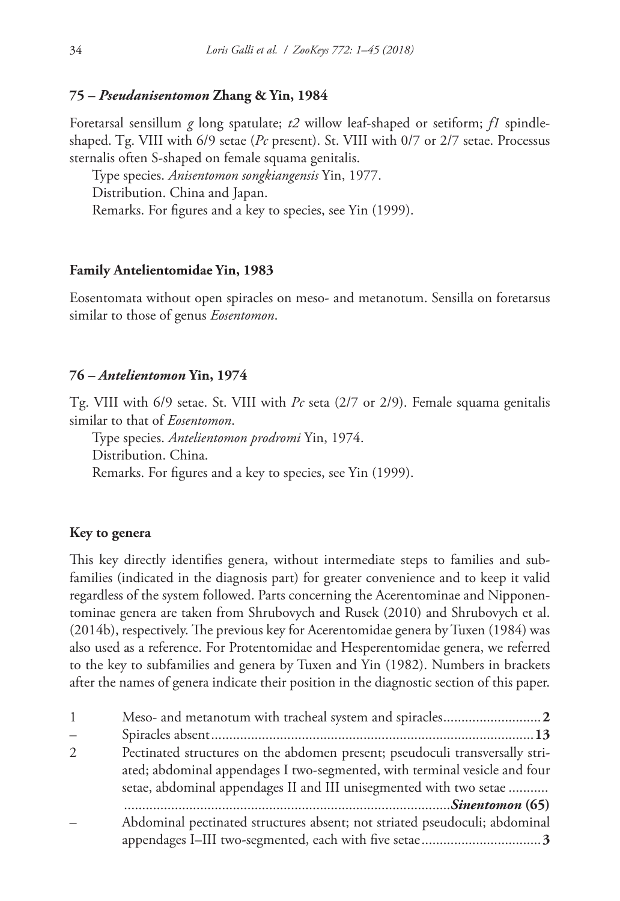#### **75 –** *Pseudanisentomon* **Zhang & Yin, 1984**

Foretarsal sensillum *g* long spatulate; *t2* willow leaf-shaped or setiform; *f1* spindleshaped. Tg. VIII with 6/9 setae (*Pc* present). St. VIII with 0/7 or 2/7 setae. Processus sternalis often S-shaped on female squama genitalis.

Type species. *Anisentomon songkiangensis* Yin, 1977. Distribution. China and Japan. Remarks. For figures and a key to species, see Yin (1999).

# **Family Antelientomidae Yin, 1983**

Eosentomata without open spiracles on meso- and metanotum. Sensilla on foretarsus similar to those of genus *Eosentomon*.

#### **76 –** *Antelientomon* **Yin, 1974**

Tg. VIII with 6/9 setae. St. VIII with *Pc* seta (2/7 or 2/9). Female squama genitalis similar to that of *Eosentomon*.

Type species. *Antelientomon prodromi* Yin, 1974. Distribution. China. Remarks. For figures and a key to species, see Yin (1999).

## **Key to genera**

This key directly identifies genera, without intermediate steps to families and subfamilies (indicated in the diagnosis part) for greater convenience and to keep it valid regardless of the system followed. Parts concerning the Acerentominae and Nipponentominae genera are taken from Shrubovych and Rusek (2010) and Shrubovych et al. (2014b), respectively. The previous key for Acerentomidae genera by Tuxen (1984) was also used as a reference. For Protentomidae and Hesperentomidae genera, we referred to the key to subfamilies and genera by Tuxen and Yin (1982). Numbers in brackets after the names of genera indicate their position in the diagnostic section of this paper.

| $\mathbf{1}$             |                                                                                                                                                                                                                                  |
|--------------------------|----------------------------------------------------------------------------------------------------------------------------------------------------------------------------------------------------------------------------------|
| $\overline{\phantom{0}}$ |                                                                                                                                                                                                                                  |
| 2                        | Pectinated structures on the abdomen present; pseudoculi transversally stri-<br>ated; abdominal appendages I two-segmented, with terminal vesicle and four<br>setae, abdominal appendages II and III unisegmented with two setae |
|                          |                                                                                                                                                                                                                                  |
|                          | Abdominal pectinated structures absent; not striated pseudoculi; abdominal                                                                                                                                                       |
|                          |                                                                                                                                                                                                                                  |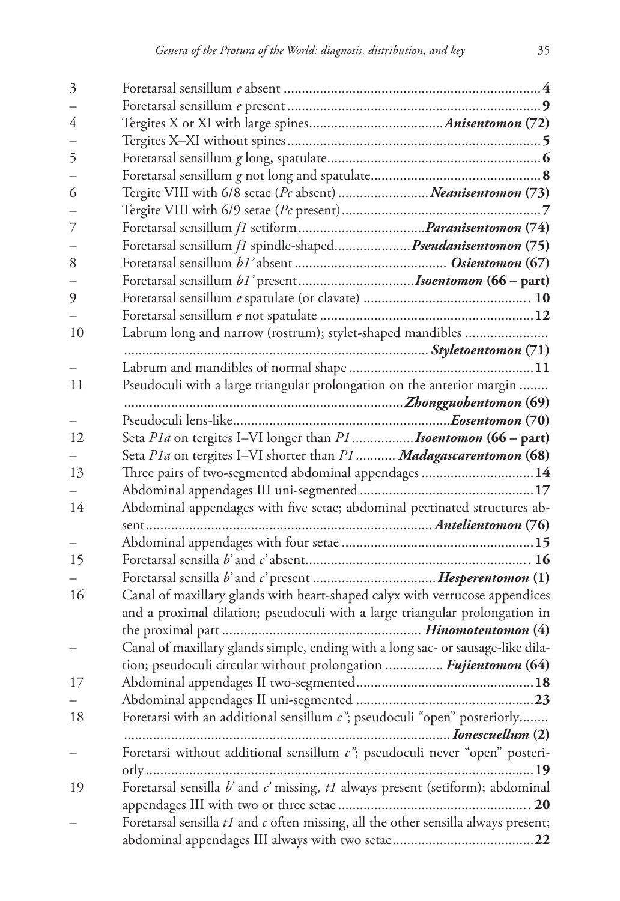| 3  |                                                                                        |
|----|----------------------------------------------------------------------------------------|
|    |                                                                                        |
| 4  |                                                                                        |
|    |                                                                                        |
| 5  |                                                                                        |
|    |                                                                                        |
| 6  | Tergite VIII with 6/8 setae (Pc absent) Neanisentomon (73)                             |
|    |                                                                                        |
| 7  |                                                                                        |
|    | Foretarsal sensillum <i>f1</i> spindle-shaped <i>Pseudanisentomon</i> (75)             |
| 8  |                                                                                        |
|    |                                                                                        |
| 9  |                                                                                        |
|    |                                                                                        |
| 10 | Labrum long and narrow (rostrum); stylet-shaped mandibles                              |
|    |                                                                                        |
|    |                                                                                        |
| 11 | Pseudoculi with a large triangular prolongation on the anterior margin                 |
|    |                                                                                        |
|    |                                                                                        |
| 12 | Seta Pla on tergites I-VI longer than P1 <b>Isoentomon</b> (66 – part)                 |
|    | Seta P1a on tergites I-VI shorter than P1  Madagascarentomon (68)                      |
| 13 | Three pairs of two-segmented abdominal appendages 14                                   |
|    |                                                                                        |
| 14 | Abdominal appendages with five setae; abdominal pectinated structures ab-              |
|    |                                                                                        |
|    |                                                                                        |
| 15 |                                                                                        |
|    |                                                                                        |
| 16 | Canal of maxillary glands with heart-shaped calyx with verrucose appendices            |
|    | and a proximal dilation; pseudoculi with a large triangular prolongation in            |
|    |                                                                                        |
|    | Canal of maxillary glands simple, ending with a long sac- or sausage-like dila-        |
|    | tion; pseudoculi circular without prolongation <i>Fujientomon</i> (64)                 |
| 17 |                                                                                        |
|    |                                                                                        |
| 18 | Foretarsi with an additional sensillum $c$ "; pseudoculi "open" posteriorly            |
|    |                                                                                        |
|    | Foretarsi without additional sensillum $c$ "; pseudoculi never "open" posteri-         |
|    |                                                                                        |
| 19 | Foretarsal sensilla b' and c' missing, t1 always present (setiform); abdominal         |
|    |                                                                                        |
|    | Foretarsal sensilla $tI$ and $c$ often missing, all the other sensilla always present; |
|    |                                                                                        |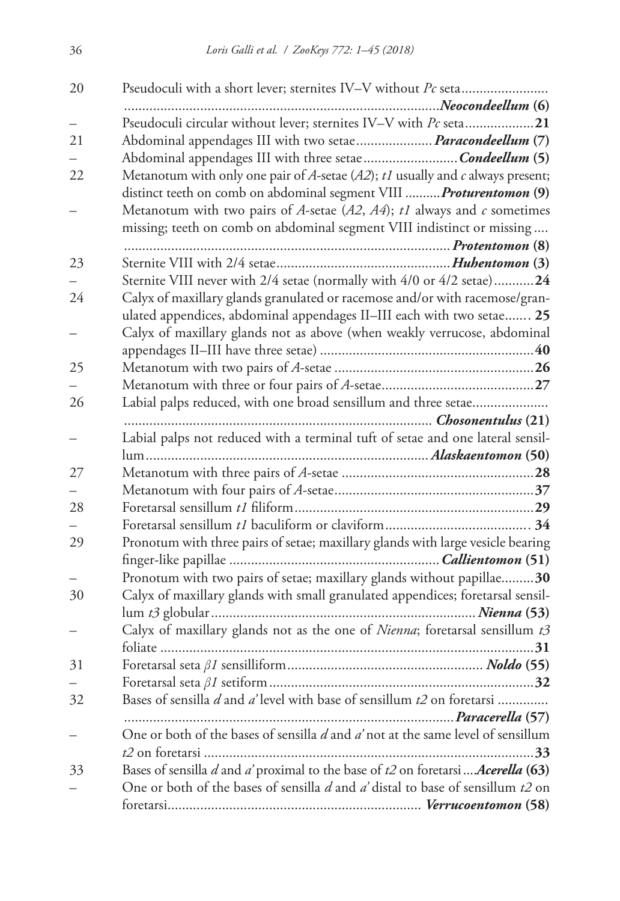| 20 | Pseudoculi with a short lever; sternites IV-V without Pc seta                       |
|----|-------------------------------------------------------------------------------------|
|    |                                                                                     |
|    | Pseudoculi circular without lever; sternites IV-V with Pc seta21                    |
| 21 | Abdominal appendages III with two setae Paracondeellum (7)                          |
|    | Abdominal appendages III with three setae Condeellum (5)                            |
| 22 | Metanotum with only one pair of A-setae $(A2)$ ; $t1$ usually and c always present; |
|    | distinct teeth on comb on abdominal segment VIII  Proturentomon (9)                 |
|    | Metanotum with two pairs of A-setae $(A2, A4)$ ; t1 always and c sometimes          |
|    | missing; teeth on comb on abdominal segment VIII indistinct or missing              |
|    |                                                                                     |
| 23 |                                                                                     |
|    | Sternite VIII never with 2/4 setae (normally with 4/0 or 4/2 setae)24               |
| 24 | Calyx of maxillary glands granulated or racemose and/or with racemose/gran-         |
|    | ulated appendices, abdominal appendages II-III each with two setae 25               |
|    | Calyx of maxillary glands not as above (when weakly verrucose, abdominal            |
|    |                                                                                     |
| 25 |                                                                                     |
|    |                                                                                     |
| 26 | Labial palps reduced, with one broad sensillum and three setae                      |
|    |                                                                                     |
|    | Labial palps not reduced with a terminal tuft of setae and one lateral sensil-      |
|    |                                                                                     |
| 27 |                                                                                     |
|    |                                                                                     |
| 28 |                                                                                     |
|    |                                                                                     |
| 29 | Pronotum with three pairs of setae; maxillary glands with large vesicle bearing     |
|    |                                                                                     |
|    | Pronotum with two pairs of setae; maxillary glands without papillae30               |
| 30 | Calyx of maxillary glands with small granulated appendices; foretarsal sensil-      |
|    |                                                                                     |
|    | Calyx of maxillary glands not as the one of Nienna; foretarsal sensillum t3         |
|    |                                                                                     |
| 31 |                                                                                     |
|    |                                                                                     |
| 32 | Bases of sensilla d and a' level with base of sensillum t2 on foretarsi             |
|    | Paracerella (57)<br>.                                                               |
|    | One or both of the bases of sensilla d and d'not at the same level of sensillum     |
|    | .33                                                                                 |
| 33 | Bases of sensilla d and a' proximal to the base of t2 on foretarsi Acerella (63)    |
|    | One or both of the bases of sensilla d and a' distal to base of sensillum t2 on     |
|    |                                                                                     |
|    |                                                                                     |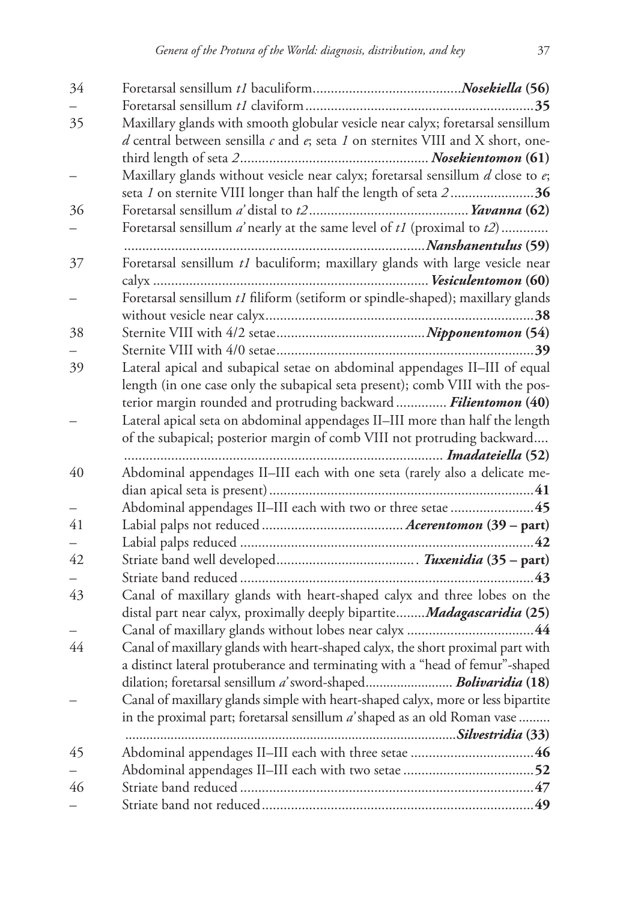| 34 |                                                                                                                                                                           |
|----|---------------------------------------------------------------------------------------------------------------------------------------------------------------------------|
|    |                                                                                                                                                                           |
| 35 | Maxillary glands with smooth globular vesicle near calyx; foretarsal sensillum<br>$d$ central between sensilla $c$ and $e$ ; seta $I$ on sternites VIII and X short, one- |
|    |                                                                                                                                                                           |
|    | Maxillary glands without vesicle near calyx; foretarsal sensillum d close to e;<br>seta 1 on sternite VIII longer than half the length of seta 236                        |
| 36 |                                                                                                                                                                           |
|    | Foretarsal sensillum $a'$ nearly at the same level of $t1$ (proximal to $t2$ )                                                                                            |
|    |                                                                                                                                                                           |
| 37 | Foretarsal sensillum t1 baculiform; maxillary glands with large vesicle near                                                                                              |
|    |                                                                                                                                                                           |
|    | Foretarsal sensillum t1 filiform (setiform or spindle-shaped); maxillary glands                                                                                           |
|    |                                                                                                                                                                           |
| 38 |                                                                                                                                                                           |
|    |                                                                                                                                                                           |
| 39 | Lateral apical and subapical setae on abdominal appendages II-III of equal                                                                                                |
|    | length (in one case only the subapical seta present); comb VIII with the pos-                                                                                             |
|    | terior margin rounded and protruding backward  Filientomon (40)                                                                                                           |
|    | Lateral apical seta on abdominal appendages II-III more than half the length                                                                                              |
|    | of the subapical; posterior margin of comb VIII not protruding backward                                                                                                   |
|    |                                                                                                                                                                           |
| 40 | Abdominal appendages II-III each with one seta (rarely also a delicate me-                                                                                                |
|    |                                                                                                                                                                           |
|    | Abdominal appendages II-III each with two or three setae  45                                                                                                              |
| 41 |                                                                                                                                                                           |
|    |                                                                                                                                                                           |
| 42 |                                                                                                                                                                           |
|    |                                                                                                                                                                           |
| 43 | Canal of maxillary glands with heart-shaped calyx and three lobes on the                                                                                                  |
|    | distal part near calyx, proximally deeply bipartite <i>Madagascaridia</i> (25)                                                                                            |
|    |                                                                                                                                                                           |
| 44 | Canal of maxillary glands with heart-shaped calyx, the short proximal part with                                                                                           |
|    | a distinct lateral protuberance and terminating with a "head of femur"-shaped                                                                                             |
|    | dilation; foretarsal sensillum a' sword-shaped Bolivaridia (18)                                                                                                           |
|    | Canal of maxillary glands simple with heart-shaped calyx, more or less bipartite                                                                                          |
|    | in the proximal part; foretarsal sensillum a' shaped as an old Roman vase                                                                                                 |
| 45 |                                                                                                                                                                           |
|    |                                                                                                                                                                           |
| 46 |                                                                                                                                                                           |
|    |                                                                                                                                                                           |
|    |                                                                                                                                                                           |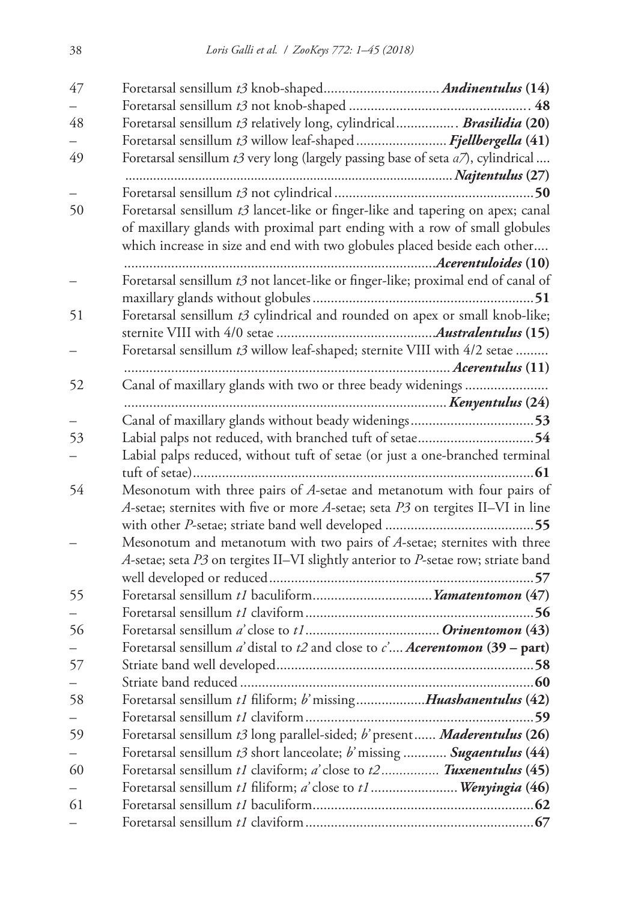| 47 |                                                                                              |
|----|----------------------------------------------------------------------------------------------|
|    |                                                                                              |
| 48 | Foretarsal sensillum t3 relatively long, cylindrical Brasilidia (20)                         |
|    | Foretarsal sensillum t3 willow leaf-shaped Fjellbergella (41)                                |
| 49 | Foretarsal sensillum $t3$ very long (largely passing base of seta $a7$ ), cylindrical        |
|    |                                                                                              |
|    |                                                                                              |
| 50 | Foretarsal sensillum t3 lancet-like or finger-like and tapering on apex; canal               |
|    | of maxillary glands with proximal part ending with a row of small globules                   |
|    | which increase in size and end with two globules placed beside each other                    |
|    |                                                                                              |
|    | Foretarsal sensillum t3 not lancet-like or finger-like; proximal end of canal of             |
|    |                                                                                              |
| 51 | Foretarsal sensillum t3 cylindrical and rounded on apex or small knob-like;                  |
|    |                                                                                              |
|    | Foretarsal sensillum t3 willow leaf-shaped; sternite VIII with 4/2 setae                     |
|    |                                                                                              |
| 52 | Canal of maxillary glands with two or three beady widenings                                  |
|    |                                                                                              |
|    |                                                                                              |
| 53 | Labial palps not reduced, with branched tuft of setae54                                      |
|    | Labial palps reduced, without tuft of setae (or just a one-branched terminal                 |
|    |                                                                                              |
| 54 | Mesonotum with three pairs of A-setae and metanotum with four pairs of                       |
|    | A-setae; sternites with five or more A-setae; seta $P_3$ on tergites II-VI in line           |
|    |                                                                                              |
|    | Mesonotum and metanotum with two pairs of A-setae; sternites with three                      |
|    | A-setae; seta P3 on tergites II-VI slightly anterior to P-setae row; striate band            |
|    |                                                                                              |
| 55 | Foretarsal sensillum t1 baculiform Yamatentomon (47)                                         |
|    |                                                                                              |
| 56 |                                                                                              |
|    | Foretarsal sensillum <i>a'</i> distal to $t2$ and close to <i>c' Acerentomon</i> (39 – part) |
| 57 |                                                                                              |
|    | .60                                                                                          |
| 58 | Foretarsal sensillum t1 filiform; b' missingHuashanentulus (42)                              |
|    |                                                                                              |
| 59 | Foretarsal sensillum t3 long parallel-sided; b' present Maderentulus (26)                    |
|    | Foretarsal sensillum t3 short lanceolate; b'missing  Sugaentulus (44)                        |
| 60 | Foretarsal sensillum t1 claviform; a close to t2 Tuxenentulus (45)                           |
|    | Foretarsal sensillum t1 filiform; a' close to t1 Wenyingia (46)                              |
| 61 |                                                                                              |
|    |                                                                                              |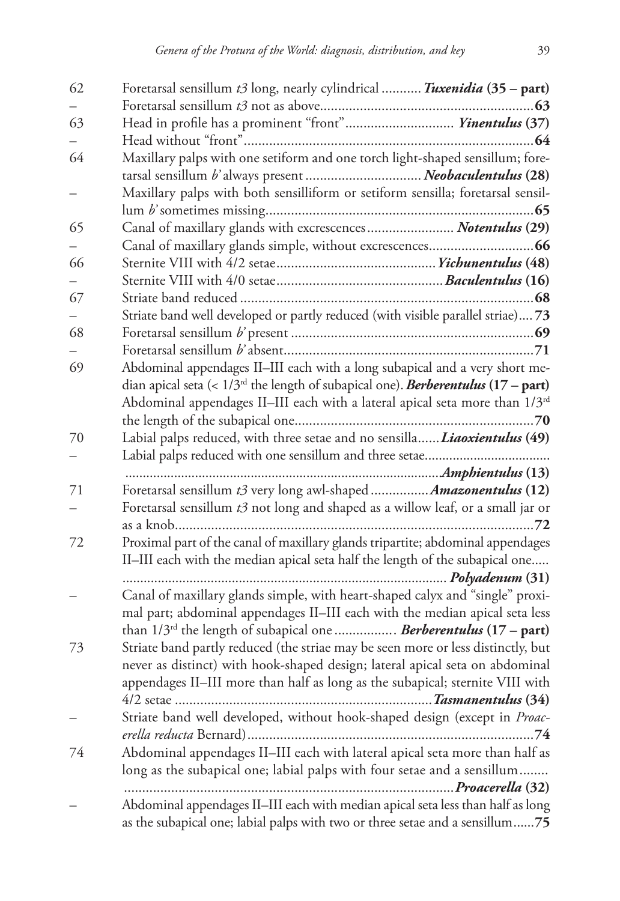| 62 | Foretarsal sensillum t3 long, nearly cylindrical  Tuxenidia (35 - part)                    |
|----|--------------------------------------------------------------------------------------------|
|    |                                                                                            |
| 63 | Head in profile has a prominent "front" Yinentulus (37)                                    |
|    |                                                                                            |
| 64 | Maxillary palps with one setiform and one torch light-shaped sensillum; fore-              |
|    | tarsal sensillum b'always present  Neobaculentulus (28)                                    |
|    | Maxillary palps with both sensilliform or setiform sensilla; foretarsal sensil-            |
|    |                                                                                            |
| 65 | Canal of maxillary glands with excrescences Notentulus (29)                                |
|    |                                                                                            |
| 66 |                                                                                            |
|    |                                                                                            |
| 67 |                                                                                            |
|    | Striate band well developed or partly reduced (with visible parallel striae) 73            |
| 68 |                                                                                            |
|    |                                                                                            |
| 69 | Abdominal appendages II-III each with a long subapical and a very short me-                |
|    | dian apical seta (< $1/3rd$ the length of subapical one). <b>Berberentulus (17 – part)</b> |
|    | Abdominal appendages II-III each with a lateral apical seta more than 1/3rd                |
|    |                                                                                            |
| 70 | Labial palps reduced, with three setae and no sensilla Liaoxientulus (49)                  |
|    |                                                                                            |
|    |                                                                                            |
|    |                                                                                            |
| 71 | Foretarsal sensillum t3 very long awl-shaped Amazonentulus (12)                            |
|    | Foretarsal sensillum $t3$ not long and shaped as a willow leaf, or a small jar or          |
|    |                                                                                            |
| 72 | Proximal part of the canal of maxillary glands tripartite; abdominal appendages            |
|    | II-III each with the median apical seta half the length of the subapical one               |
|    |                                                                                            |
|    | Canal of maxillary glands simple, with heart-shaped calyx and "single" proxi-              |
|    | mal part; abdominal appendages II-III each with the median apical seta less                |
|    | than $1/3^{rd}$ the length of subapical one <i>Berberentulus</i> (17 – part)               |
| 73 | Striate band partly reduced (the striae may be seen more or less distinctly, but           |
|    | never as distinct) with hook-shaped design; lateral apical seta on abdominal               |
|    | appendages II–III more than half as long as the subapical; sternite VIII with              |
|    | 4/2 setae                                                                                  |
|    | Striate band well developed, without hook-shaped design (except in Proac-                  |
|    |                                                                                            |
| 74 | Abdominal appendages II-III each with lateral apical seta more than half as                |
|    | long as the subapical one; labial palps with four setae and a sensillum                    |
|    | <i>Proacerella</i> (32)                                                                    |
|    | Abdominal appendages II-III each with median apical seta less than half as long            |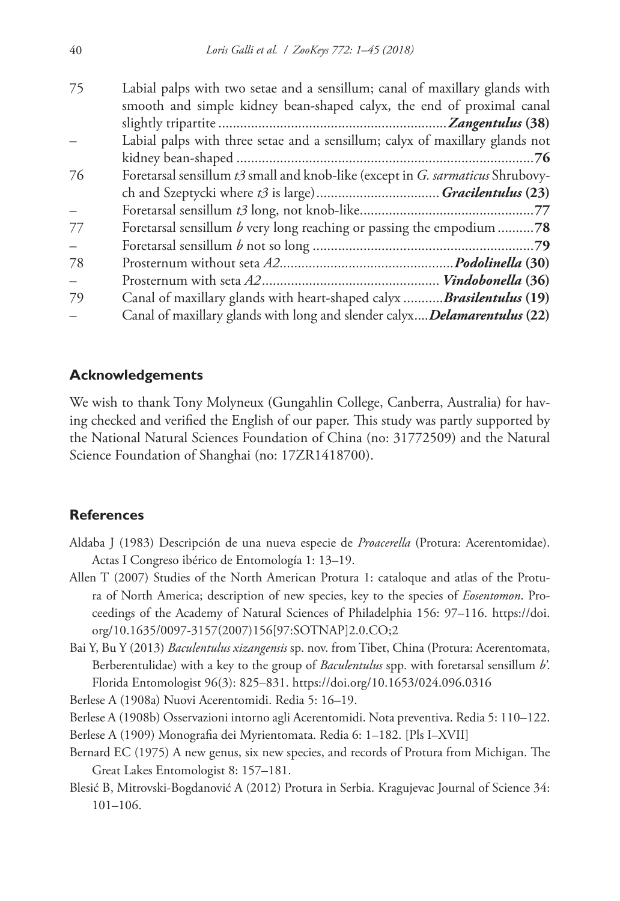| 75 | Labial palps with two setae and a sensillum; canal of maxillary glands with      |
|----|----------------------------------------------------------------------------------|
|    | smooth and simple kidney bean-shaped calyx, the end of proximal canal            |
|    |                                                                                  |
|    | Labial palps with three setae and a sensillum; calyx of maxillary glands not     |
|    |                                                                                  |
| 76 | Foretarsal sensillum t3 small and knob-like (except in G. sarmaticus Shrubovy-   |
|    |                                                                                  |
|    |                                                                                  |
| 77 | Foretarsal sensillum b very long reaching or passing the empodium 78             |
|    |                                                                                  |
| 78 |                                                                                  |
|    |                                                                                  |
| 79 | Canal of maxillary glands with heart-shaped calyx Brasilentulus (19)             |
|    | Canal of maxillary glands with long and slender calyx <i>Delamarentulus</i> (22) |

# **Acknowledgements**

We wish to thank Tony Molyneux (Gungahlin College, Canberra, Australia) for having checked and verified the English of our paper. This study was partly supported by the National Natural Sciences Foundation of China (no: 31772509) and the Natural Science Foundation of Shanghai (no: 17ZR1418700).

# **References**

- Aldaba J (1983) Descripción de una nueva especie de *Proacerella* (Protura: Acerentomidae). Actas I Congreso ibérico de Entomología 1: 13–19.
- Allen T (2007) Studies of the North American Protura 1: cataloque and atlas of the Protura of North America; description of new species, key to the species of *Eosentomon*. Proceedings of the Academy of Natural Sciences of Philadelphia 156: 97–116. [https://doi.](https://doi.org/10.1635/0097-3157(2007)156%5B97:SOTNAP%5D2.0.CO;2) [org/10.1635/0097-3157\(2007\)156\[97:SOTNAP\]2.0.CO;2](https://doi.org/10.1635/0097-3157(2007)156%5B97:SOTNAP%5D2.0.CO;2)
- Bai Y, Bu Y (2013) *Baculentulus xizangensis* sp. nov. from Tibet, China (Protura: Acerentomata, Berberentulidae) with a key to the group of *Baculentulus* spp. with foretarsal sensillum *b'*. Florida Entomologist 96(3): 825–831. <https://doi.org/10.1653/024.096.0316>

Berlese A (1908a) Nuovi Acerentomidi. Redia 5: 16–19.

Berlese A (1908b) Osservazioni intorno agli Acerentomidi. Nota preventiva. Redia 5: 110–122.

- Berlese A (1909) Monografia dei Myrientomata. Redia 6: 1–182. [Pls I–XVII]
- Bernard EC (1975) A new genus, six new species, and records of Protura from Michigan. The Great Lakes Entomologist 8: 157–181.
- Blesić B, Mitrovski-Bogdanović A (2012) Protura in Serbia. Kragujevac Journal of Science 34: 101–106.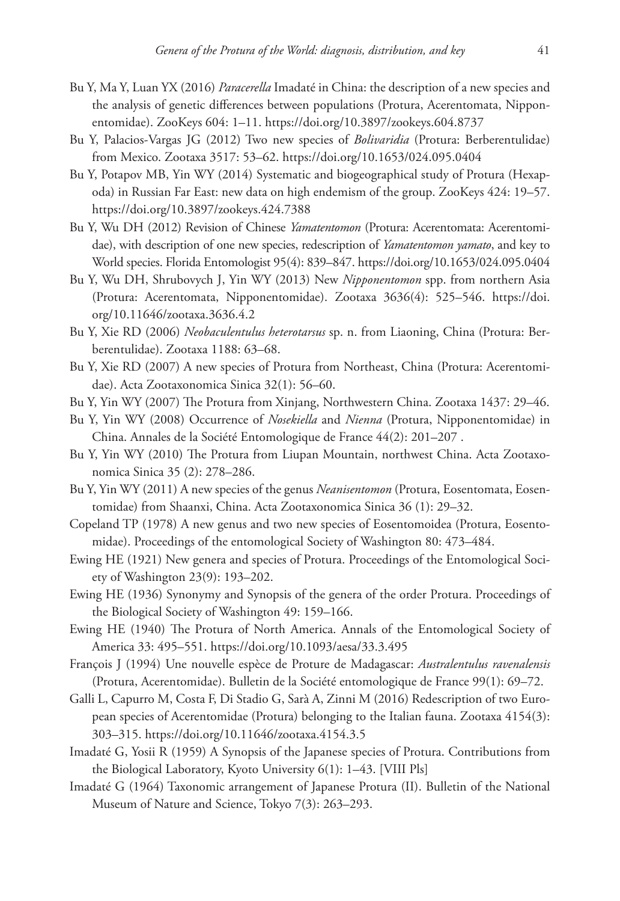- Bu Y, Ma Y, Luan YX (2016) *Paracerella* Imadaté in China: the description of a new species and the analysis of genetic differences between populations (Protura, Acerentomata, Nipponentomidae). ZooKeys 604: 1–11.<https://doi.org/10.3897/zookeys.604.8737>
- Bu Y, Palacios-Vargas JG (2012) Two new species of *Bolivaridia* (Protura: Berberentulidae) from Mexico. Zootaxa 3517: 53–62.<https://doi.org/10.1653/024.095.0404>
- Bu Y, Potapov MB, Yin WY (2014) Systematic and biogeographical study of Protura (Hexapoda) in Russian Far East: new data on high endemism of the group. ZooKeys 424: 19–57. <https://doi.org/10.3897/zookeys.424.7388>
- Bu Y, Wu DH (2012) Revision of Chinese *Yamatentomon* (Protura: Acerentomata: Acerentomidae), with description of one new species, redescription of *Yamatentomon yamato*, and key to World species. Florida Entomologist 95(4): 839–847.<https://doi.org/10.1653/024.095.0404>
- Bu Y, Wu DH, Shrubovych J, Yin WY (2013) New *Nipponentomon* spp. from northern Asia (Protura: Acerentomata, Nipponentomidae). Zootaxa 3636(4): 525–546. [https://doi.](https://doi.org/10.11646/zootaxa.3636.4.2) [org/10.11646/zootaxa.3636.4.2](https://doi.org/10.11646/zootaxa.3636.4.2)
- Bu Y, Xie RD (2006) *Neobaculentulus heterotarsus* sp. n. from Liaoning, China (Protura: Berberentulidae). Zootaxa 1188: 63–68.
- Bu Y, Xie RD (2007) A new species of Protura from Northeast, China (Protura: Acerentomidae). Acta Zootaxonomica Sinica 32(1): 56–60.
- Bu Y, Yin WY (2007) The Protura from Xinjang, Northwestern China. Zootaxa 1437: 29–46.
- Bu Y, Yin WY (2008) Occurrence of *Nosekiella* and *Nienna* (Protura, Nipponentomidae) in China. Annales de la Société Entomologique de France 44(2): 201–207 .
- Bu Y, Yin WY (2010) The Protura from Liupan Mountain, northwest China. Acta Zootaxonomica Sinica 35 (2): 278–286.
- Bu Y, Yin WY (2011) A new species of the genus *Neanisentomon* (Protura, Eosentomata, Eosentomidae) from Shaanxi, China. Acta Zootaxonomica Sinica 36 (1): 29–32.
- Copeland TP (1978) A new genus and two new species of Eosentomoidea (Protura, Eosentomidae). Proceedings of the entomological Society of Washington 80: 473–484.
- Ewing HE (1921) New genera and species of Protura. Proceedings of the Entomological Society of Washington 23(9): 193–202.
- Ewing HE (1936) Synonymy and Synopsis of the genera of the order Protura. Proceedings of the Biological Society of Washington 49: 159–166.
- Ewing HE (1940) The Protura of North America. Annals of the Entomological Society of America 33: 495–551. <https://doi.org/10.1093/aesa/33.3.495>
- François J (1994) Une nouvelle espèce de Proture de Madagascar: *Australentulus ravenalensis* (Protura, Acerentomidae). Bulletin de la Société entomologique de France 99(1): 69–72.
- Galli L, Capurro M, Costa F, Di Stadio G, Sarà A, Zinni M (2016) Redescription of two European species of Acerentomidae (Protura) belonging to the Italian fauna. Zootaxa 4154(3): 303–315.<https://doi.org/10.11646/zootaxa.4154.3.5>
- Imadaté G, Yosii R (1959) A Synopsis of the Japanese species of Protura. Contributions from the Biological Laboratory, Kyoto University 6(1): 1–43. [VIII Pls]
- Imadaté G (1964) Taxonomic arrangement of Japanese Protura (II). Bulletin of the National Museum of Nature and Science, Tokyo 7(3): 263–293.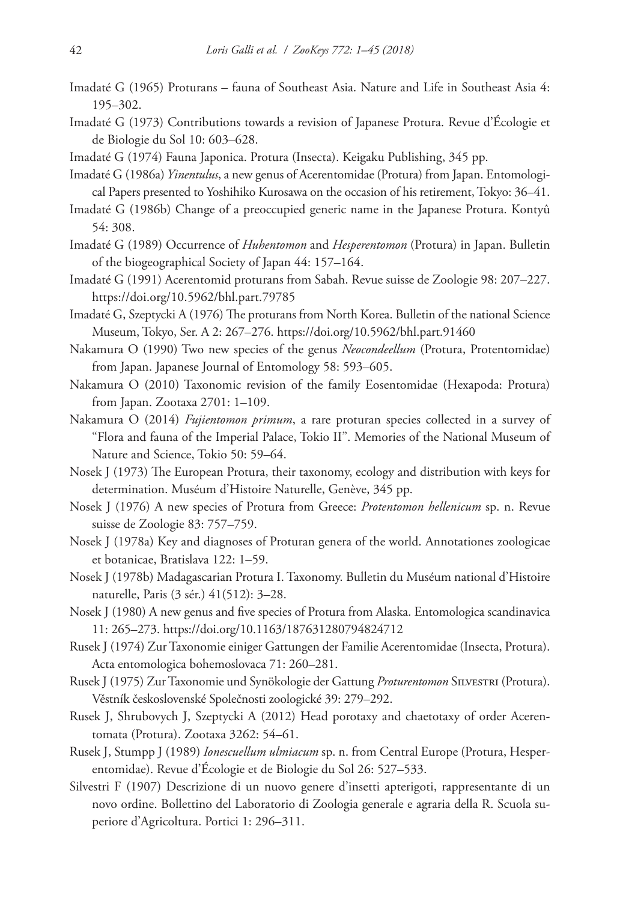- Imadaté G (1965) Proturans fauna of Southeast Asia. Nature and Life in Southeast Asia 4: 195–302.
- Imadaté G (1973) Contributions towards a revision of Japanese Protura. Revue d'Écologie et de Biologie du Sol 10: 603–628.
- Imadaté G (1974) Fauna Japonica. Protura (Insecta). Keigaku Publishing, 345 pp.
- Imadaté G (1986a) *Yinentulus*, a new genus of Acerentomidae (Protura) from Japan. Entomological Papers presented to Yoshihiko Kurosawa on the occasion of his retirement, Tokyo: 36–41.
- Imadaté G (1986b) Change of a preoccupied generic name in the Japanese Protura. Kontyû 54: 308.
- Imadaté G (1989) Occurrence of *Huhentomon* and *Hesperentomon* (Protura) in Japan. Bulletin of the biogeographical Society of Japan 44: 157–164.
- Imadaté G (1991) Acerentomid proturans from Sabah. Revue suisse de Zoologie 98: 207–227. <https://doi.org/10.5962/bhl.part.79785>
- Imadaté G, Szeptycki A (1976) The proturans from North Korea. Bulletin of the national Science Museum, Tokyo, Ser. A 2: 267–276.<https://doi.org/10.5962/bhl.part.91460>
- Nakamura O (1990) Two new species of the genus *Neocondeellum* (Protura, Protentomidae) from Japan. Japanese Journal of Entomology 58: 593–605.
- Nakamura O (2010) Taxonomic revision of the family Eosentomidae (Hexapoda: Protura) from Japan. Zootaxa 2701: 1–109.
- Nakamura O (2014) *Fujientomon primum*, a rare proturan species collected in a survey of "Flora and fauna of the Imperial Palace, Tokio II". Memories of the National Museum of Nature and Science, Tokio 50: 59–64.
- Nosek J (1973) The European Protura, their taxonomy, ecology and distribution with keys for determination. Muséum d'Histoire Naturelle, Genève, 345 pp.
- Nosek J (1976) A new species of Protura from Greece: *Protentomon hellenicum* sp. n. Revue suisse de Zoologie 83: 757–759.
- Nosek J (1978a) Key and diagnoses of Proturan genera of the world. Annotationes zoologicae et botanicae, Bratislava 122: 1–59.
- Nosek J (1978b) Madagascarian Protura I. Taxonomy. Bulletin du Muséum national d'Histoire naturelle, Paris (3 sér.) 41(512): 3–28.
- Nosek J (1980) A new genus and five species of Protura from Alaska. Entomologica scandinavica 11: 265–273.<https://doi.org/10.1163/187631280794824712>
- Rusek J (1974) Zur Taxonomie einiger Gattungen der Familie Acerentomidae (Insecta, Protura). Acta entomologica bohemoslovaca 71: 260–281.
- Rusek J (1975) Zur Taxonomie und Synökologie der Gattung *Proturentomon* Silvestri (Protura). Věstník československé Společnosti zoologické 39: 279–292.
- Rusek J, Shrubovych J, Szeptycki A (2012) Head porotaxy and chaetotaxy of order Acerentomata (Protura). Zootaxa 3262: 54–61.
- Rusek J, Stumpp J (1989) *Ionescuellum ulmiacum* sp. n. from Central Europe (Protura, Hesperentomidae). Revue d'Écologie et de Biologie du Sol 26: 527–533.
- Silvestri F (1907) Descrizione di un nuovo genere d'insetti apterigoti, rappresentante di un novo ordine. Bollettino del Laboratorio di Zoologia generale e agraria della R. Scuola superiore d'Agricoltura. Portici 1: 296–311.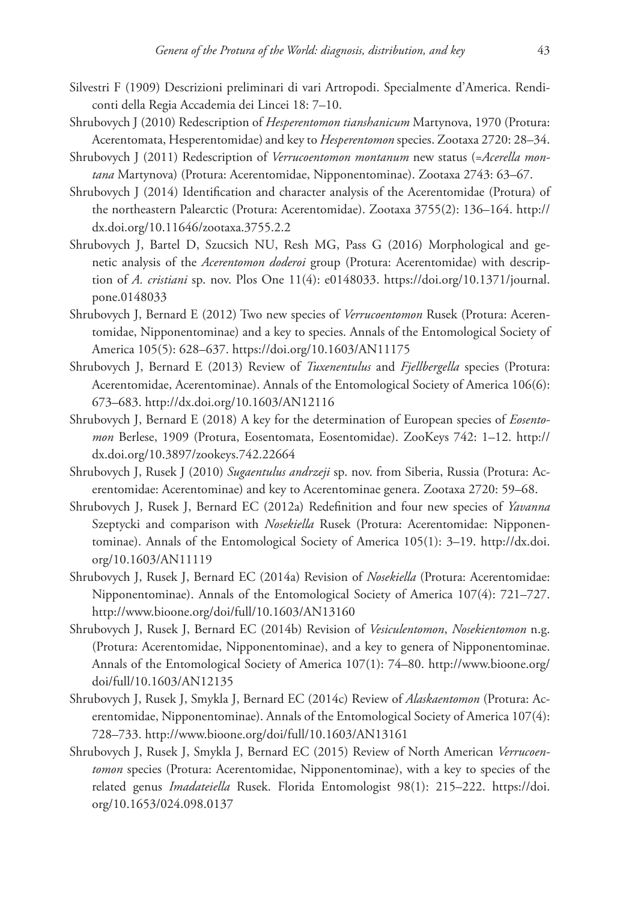- Silvestri F (1909) Descrizioni preliminari di vari Artropodi. Specialmente d'America. Rendiconti della Regia Accademia dei Lincei 18: 7–10.
- Shrubovych J (2010) Redescription of *Hesperentomon tianshanicum* Martynova, 1970 (Protura: Acerentomata, Hesperentomidae) and key to *Hesperentomon* species. Zootaxa 2720: 28–34.
- Shrubovych J (2011) Redescription of *Verrucoentomon montanum* new status (=*Acerella montana* Martynova) (Protura: Acerentomidae, Nipponentominae). Zootaxa 2743: 63–67.
- Shrubovych J (2014) Identification and character analysis of the Acerentomidae (Protura) of the northeastern Palearctic (Protura: Acerentomidae). Zootaxa 3755(2): 136–164. [http://](http://dx.doi.org/10.11646/zootaxa.3755.2.2) [dx.doi.org/10.11646/zootaxa.3755.2.2](http://dx.doi.org/10.11646/zootaxa.3755.2.2)
- Shrubovych J, Bartel D, Szucsich NU, Resh MG, Pass G (2016) Morphological and genetic analysis of the *Acerentomon doderoi* group (Protura: Acerentomidae) with description of *A. cristiani* sp. nov. Plos One 11(4): e0148033. [https://doi.org/10.1371/journal.](https://doi.org/10.1371/journal.pone.0148033) [pone.0148033](https://doi.org/10.1371/journal.pone.0148033)
- Shrubovych J, Bernard E (2012) Two new species of *Verrucoentomon* Rusek (Protura: Acerentomidae, Nipponentominae) and a key to species. Annals of the Entomological Society of America 105(5): 628–637.<https://doi.org/10.1603/AN11175>
- Shrubovych J, Bernard E (2013) Review of *Tuxenentulus* and *Fjellbergella* species (Protura: Acerentomidae, Acerentominae). Annals of the Entomological Society of America 106(6): 673–683.<http://dx.doi.org/10.1603/AN12116>
- Shrubovych J, Bernard E (2018) A key for the determination of European species of *Eosentomon* Berlese, 1909 (Protura, Eosentomata, Eosentomidae). ZooKeys 742: 1–12. [http://](http://dx.doi.org/10.3897/zookeys.742.22664) [dx.doi.org/10.3897/zookeys.742.22664](http://dx.doi.org/10.3897/zookeys.742.22664)
- Shrubovych J, Rusek J (2010) *Sugaentulus andrzeji* sp. nov. from Siberia, Russia (Protura: Acerentomidae: Acerentominae) and key to Acerentominae genera. Zootaxa 2720: 59–68.
- Shrubovych J, Rusek J, Bernard EC (2012a) Redefinition and four new species of *Yavanna*  Szeptycki and comparison with *Nosekiella* Rusek (Protura: Acerentomidae: Nipponentominae). Annals of the Entomological Society of America 105(1): 3–19. [http://dx.doi.](http://dx.doi.org/10.1603/AN11119) [org/10.1603/AN11119](http://dx.doi.org/10.1603/AN11119)
- Shrubovych J, Rusek J, Bernard EC (2014a) Revision of *Nosekiella* (Protura: Acerentomidae: Nipponentominae). Annals of the Entomological Society of America 107(4): 721–727. <http://www.bioone.org/doi/full/10.1603/AN13160>
- Shrubovych J, Rusek J, Bernard EC (2014b) Revision of *Vesiculentomon*, *Nosekientomon* n.g. (Protura: Acerentomidae, Nipponentominae), and a key to genera of Nipponentominae. Annals of the Entomological Society of America 107(1): 74–80. [http://www.bioone.org/](http://www.bioone.org/doi/full/10.1603/AN12135) [doi/full/10.1603/AN12135](http://www.bioone.org/doi/full/10.1603/AN12135)
- Shrubovych J, Rusek J, Smykla J, Bernard EC (2014c) Review of *Alaskaentomon* (Protura: Acerentomidae, Nipponentominae). Annals of the Entomological Society of America 107(4): 728–733.<http://www.bioone.org/doi/full/10.1603/AN13161>
- Shrubovych J, Rusek J, Smykla J, Bernard EC (2015) Review of North American *Verrucoentomon* species (Protura: Acerentomidae, Nipponentominae), with a key to species of the related genus *Imadateiella* Rusek. Florida Entomologist 98(1): 215–222. [https://doi.](https://doi.org/10.1653/024.098.0137) [org/10.1653/024.098.0137](https://doi.org/10.1653/024.098.0137)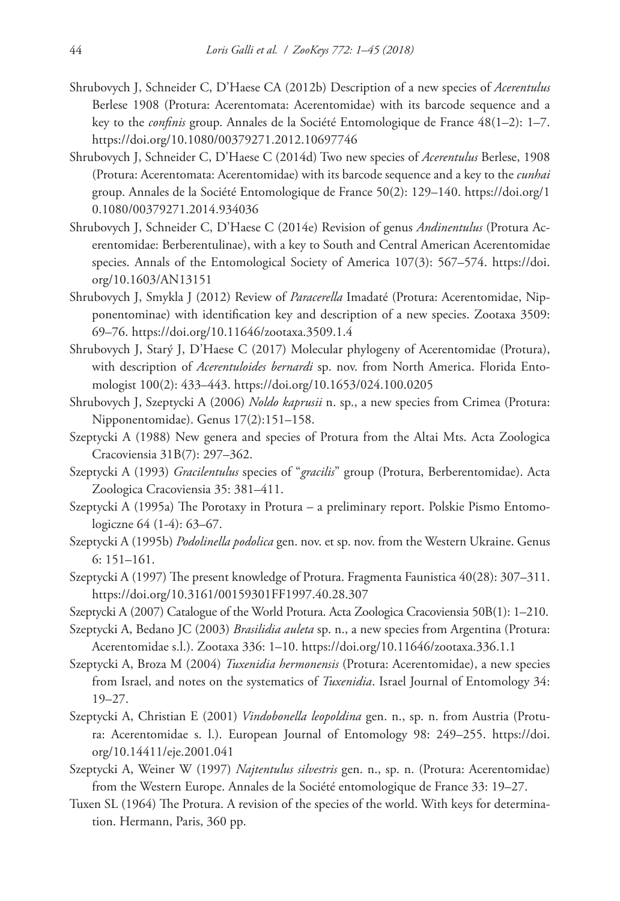- Shrubovych J, Schneider C, D'Haese CA (2012b) Description of a new species of *Acerentulus* Berlese 1908 (Protura: Acerentomata: Acerentomidae) with its barcode sequence and a key to the *confinis* group. Annales de la Société Entomologique de France 48(1–2): 1–7. <https://doi.org/10.1080/00379271.2012.10697746>
- Shrubovych J, Schneider C, D'Haese C (2014d) Two new species of *Acerentulus* Berlese, 1908 (Protura: Acerentomata: Acerentomidae) with its barcode sequence and a key to the *cunhai* group. Annales de la Société Entomologique de France 50(2): 129–140. [https://doi.org/1](https://doi.org/10.1080/00379271.2014.934036) [0.1080/00379271.2014.934036](https://doi.org/10.1080/00379271.2014.934036)
- Shrubovych J, Schneider C, D'Haese C (2014e) Revision of genus *Andinentulus* (Protura Acerentomidae: Berberentulinae), with a key to South and Central American Acerentomidae species. Annals of the Entomological Society of America 107(3): 567–574. [https://doi.](https://doi.org/10.1603/AN13151) [org/10.1603/AN13151](https://doi.org/10.1603/AN13151)
- Shrubovych J, Smykla J (2012) Review of *Paracerella* Imadaté (Protura: Acerentomidae, Nipponentominae) with identification key and description of a new species. Zootaxa 3509: 69–76.<https://doi.org/10.11646/zootaxa.3509.1.4>
- Shrubovych J, Starý J, D'Haese C (2017) Molecular phylogeny of Acerentomidae (Protura), with description of *Acerentuloides bernardi* sp. nov. from North America. Florida Entomologist 100(2): 433–443. <https://doi.org/10.1653/024.100.0205>
- Shrubovych J, Szeptycki A (2006) *Noldo kaprusii* n. sp., a new species from Crimea (Protura: Nipponentomidae). Genus 17(2):151–158.
- Szeptycki A (1988) New genera and species of Protura from the Altai Mts. Acta Zoologica Cracoviensia 31B(7): 297–362.
- Szeptycki A (1993) *Gracilentulus* species of "*gracilis*" group (Protura, Berberentomidae). Acta Zoologica Cracoviensia 35: 381–411.
- Szeptycki A (1995a) The Porotaxy in Protura a preliminary report. Polskie Pismo Entomologiczne 64 (1-4): 63–67.
- Szeptycki A (1995b) *Podolinella podolica* gen. nov. et sp. nov. from the Western Ukraine. Genus 6: 151–161.
- Szeptycki A (1997) The present knowledge of Protura. Fragmenta Faunistica 40(28): 307–311. <https://doi.org/10.3161/00159301FF1997.40.28.307>
- Szeptycki A (2007) Catalogue of the World Protura. Acta Zoologica Cracoviensia 50B(1): 1–210.
- Szeptycki A, Bedano JC (2003) *Brasilidia auleta* sp. n., a new species from Argentina (Protura: Acerentomidae s.l.). Zootaxa 336: 1–10. <https://doi.org/10.11646/zootaxa.336.1.1>
- Szeptycki A, Broza M (2004) *Tuxenidia hermonensis* (Protura: Acerentomidae), a new species from Israel, and notes on the systematics of *Tuxenidia*. Israel Journal of Entomology 34: 19–27.
- Szeptycki A, Christian E (2001) *Vindobonella leopoldina* gen. n., sp. n. from Austria (Protura: Acerentomidae s. l.). European Journal of Entomology 98: 249–255. [https://doi.](https://doi.org/10.14411/eje.2001.041) [org/10.14411/eje.2001.041](https://doi.org/10.14411/eje.2001.041)
- Szeptycki A, Weiner W (1997) *Najtentulus silvestris* gen. n., sp. n. (Protura: Acerentomidae) from the Western Europe. Annales de la Société entomologique de France 33: 19–27.
- Tuxen SL (1964) The Protura. A revision of the species of the world. With keys for determination. Hermann, Paris, 360 pp.